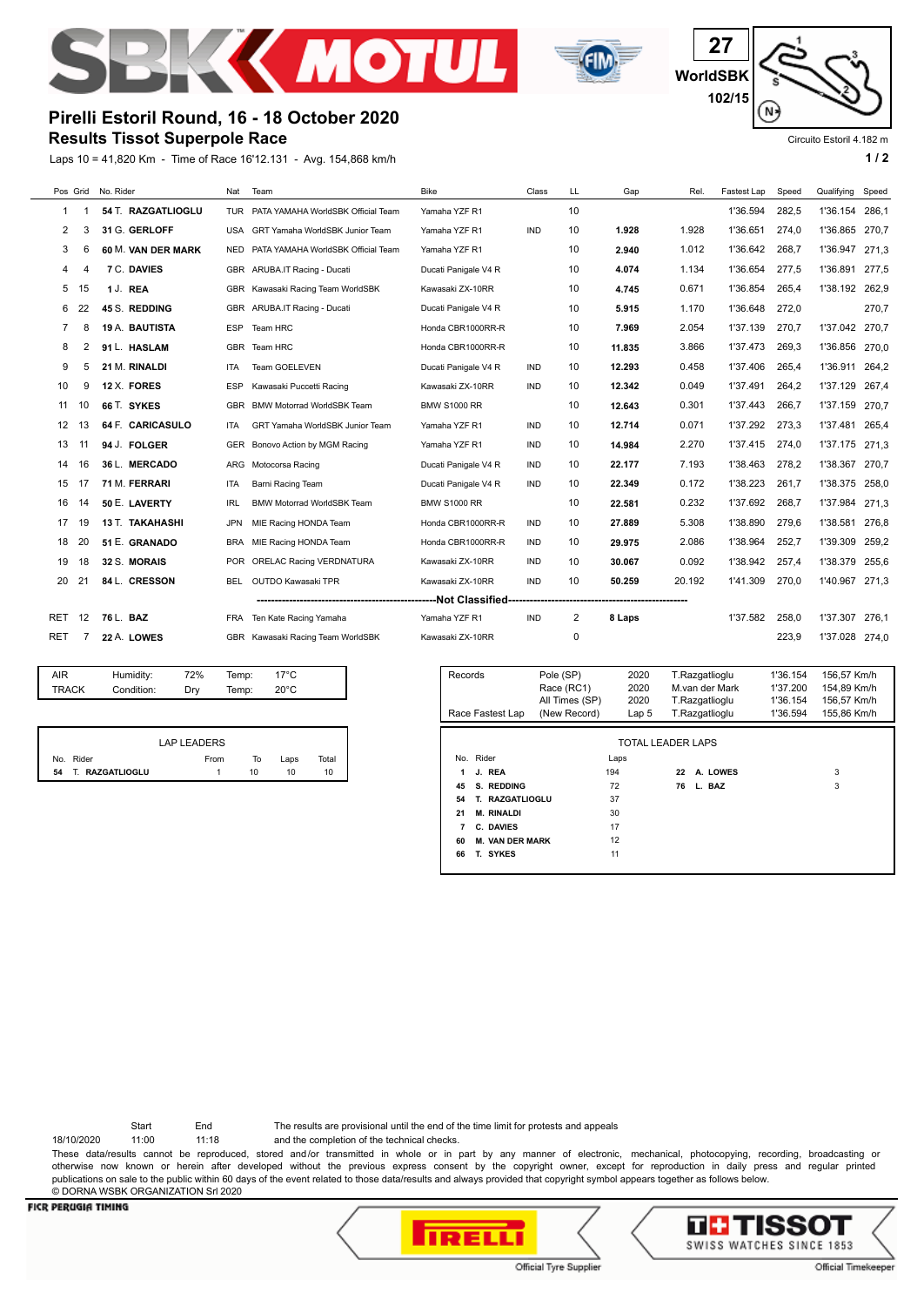



**27 WorldSBK 102/15** N.

Circuito Estoril 4.182 m

# **Pirelli Estoril Round, 16 - 18 October 2020**

**Results Tissot Superpole Race**

Laps 10 = 41,820 Km - Time of Race 16'12.131 - Avg. 154,868 km/h **1 / 2**

| Pos Grid |    | No. Rider              | Nat        | Team                               | <b>Bike</b>          | Class      | LL | Gap    | Rel.   | Fastest Lap | Speed | Qualifying Speed |       |
|----------|----|------------------------|------------|------------------------------------|----------------------|------------|----|--------|--------|-------------|-------|------------------|-------|
| 1.       |    | 54 T. RAZGATLIOGLU     | <b>TUR</b> | PATA YAMAHA WorldSBK Official Team | Yamaha YZF R1        |            | 10 |        |        | 1'36.594    | 282.5 | 1'36.154         | 286.1 |
| 2        | 3  | 31 G. GERLOFF          | <b>USA</b> | GRT Yamaha WorldSBK Junior Team    | Yamaha YZF R1        | <b>IND</b> | 10 | 1.928  | 1.928  | 1'36.651    | 274.0 | 1'36.865         | 270.7 |
| 3        | 6  | 60 M. VAN DER MARK     | <b>NED</b> | PATA YAMAHA WorldSBK Official Team | Yamaha YZF R1        |            | 10 | 2.940  | 1.012  | 1'36.642    | 268.7 | 1'36.947         | 271,3 |
| 4        | Δ  | 7 C. DAVIES            | GBR        | ARUBA.IT Racing - Ducati           | Ducati Panigale V4 R |            | 10 | 4.074  | 1.134  | 1'36.654    | 277,5 | 1'36.891         | 277,5 |
| 5        | 15 | 1 J. REA               | GBR        | Kawasaki Racing Team WorldSBK      | Kawasaki ZX-10RR     |            | 10 | 4.745  | 0.671  | 1'36.854    | 265.4 | 1'38.192         | 262.9 |
| 6        | 22 | 45 S. REDDING          | <b>GBR</b> | ARUBA.IT Racing - Ducati           | Ducati Panigale V4 R |            | 10 | 5.915  | 1.170  | 1'36.648    | 272.0 |                  | 270,7 |
| 7        | 8  | 19 A. BAUTISTA         | <b>ESP</b> | Team HRC                           | Honda CBR1000RR-R    |            | 10 | 7.969  | 2.054  | 1'37.139    | 270.7 | 1'37.042         | 270.7 |
| 8        | 2  | 91 L. HASLAM           | <b>GBR</b> | Team HRC                           | Honda CBR1000RR-R    |            | 10 | 11.835 | 3.866  | 1'37.473    | 269,3 | 1'36.856         | 270,0 |
| 9        | 5  | 21 M. RINALDI          | <b>ITA</b> | <b>Team GOELEVEN</b>               | Ducati Panigale V4 R | <b>IND</b> | 10 | 12.293 | 0.458  | 1'37.406    | 265.4 | 1'36.911         | 264.2 |
| 10       | 9  | 12 X. FORES            | <b>ESP</b> | Kawasaki Puccetti Racing           | Kawasaki ZX-10RR     | <b>IND</b> | 10 | 12.342 | 0.049  | 1'37.491    | 264.2 | 1'37.129         | 267.4 |
| 11       | 10 | 66 T. SYKES            | <b>GBR</b> | <b>BMW Motorrad WorldSBK Team</b>  | <b>BMW S1000 RR</b>  |            | 10 | 12.643 | 0.301  | 1'37.443    | 266.7 | 1'37.159         | 270.7 |
| 12       | 13 | 64 F. CARICASULO       | <b>ITA</b> | GRT Yamaha WorldSBK Junior Team    | Yamaha YZF R1        | <b>IND</b> | 10 | 12.714 | 0.071  | 1'37.292    | 273,3 | 1'37.481         | 265.4 |
| 13       | 11 | 94 J. FOLGER           | <b>GER</b> | Bonovo Action by MGM Racing        | Yamaha YZF R1        | <b>IND</b> | 10 | 14.984 | 2.270  | 1'37.415    | 274.0 | 1'37.175         | 271.3 |
| 14       | 16 | 36 L. MERCADO          | ARG        | Motocorsa Racing                   | Ducati Panigale V4 R | <b>IND</b> | 10 | 22.177 | 7.193  | 1'38.463    | 278.2 | 1'38.367         | 270.7 |
| 15       | 17 | 71 M. FERRARI          | <b>ITA</b> | Barni Racing Team                  | Ducati Panigale V4 R | <b>IND</b> | 10 | 22.349 | 0.172  | 1'38.223    | 261.7 | 1'38.375         | 258.0 |
| 16       | 14 | 50 E. LAVERTY          | <b>IRL</b> | <b>BMW Motorrad WorldSBK Team</b>  | <b>BMW S1000 RR</b>  |            | 10 | 22.581 | 0.232  | 1'37.692    | 268,7 | 1'37.984         | 271.3 |
| 17       | 19 | <b>13 T. TAKAHASHI</b> | <b>JPN</b> | MIE Racing HONDA Team              | Honda CBR1000RR-R    | <b>IND</b> | 10 | 27.889 | 5.308  | 1'38.890    | 279.6 | 1'38.581         | 276.8 |
| 18       | 20 | 51 E. GRANADO          | <b>BRA</b> | MIE Racing HONDA Team              | Honda CBR1000RR-R    | <b>IND</b> | 10 | 29.975 | 2.086  | 1'38.964    | 252.7 | 1'39.309         | 259.2 |
| 19       | 18 | 32 S. MORAIS           | <b>POR</b> | <b>ORELAC Racing VERDNATURA</b>    | Kawasaki ZX-10RR     | <b>IND</b> | 10 | 30.067 | 0.092  | 1'38.942    | 257.4 | 1'38.379         | 255.6 |
| 20       | 21 | 84 L. CRESSON          | <b>BEL</b> | <b>OUTDO Kawasaki TPR</b>          | Kawasaki ZX-10RR     | <b>IND</b> | 10 | 50.259 | 20.192 | 1'41.309    | 270.0 | 1'40.967 271,3   |       |
|          |    |                        |            |                                    |                      |            |    |        |        |             |       |                  |       |
| RET      | 12 | 76 L. BAZ              | <b>FRA</b> | Ten Kate Racing Yamaha             | Yamaha YZF R1        | <b>IND</b> | 2  | 8 Laps |        | 1'37.582    | 258.0 | 1'37.307         | 276.1 |
| RET      | 7  | 22 A. LOWES            |            | GBR Kawasaki Racing Team WorldSBK  | Kawasaki ZX-10RR     |            | 0  |        |        |             | 223,9 | 1'37.028         | 274.0 |
|          |    |                        |            |                                    |                      |            |    |        |        |             |       |                  |       |

|                                            | $17^{\circ}$ C<br>Temp: |
|--------------------------------------------|-------------------------|
| <b>TRACK</b><br>Condition:<br>Temp:<br>Drv | $20^{\circ}$ C          |

|                    | LAP LEADERS |     |      |       |
|--------------------|-------------|-----|------|-------|
| No. Rider          | From        | То  | Laps | Total |
| 54 T. RAZGATLIOGLU |             | 10. | 10   | 10    |

| Records<br>Race Fastest Lap     | Pole (SP)<br>Race (RC1)<br>All Times (SP)<br>(New Record) | 2020<br>2020<br>2020<br>Lap <sub>5</sub> | T.Razgatlioglu<br>M.van der Mark<br>T.Razgatlioglu<br>T.Razgatlioglu | 1'36.154<br>1'37.200<br>1'36.154<br>1'36.594 | 156,57 Km/h<br>154.89 Km/h<br>156,57 Km/h<br>155.86 Km/h |  |  |  |  |  |
|---------------------------------|-----------------------------------------------------------|------------------------------------------|----------------------------------------------------------------------|----------------------------------------------|----------------------------------------------------------|--|--|--|--|--|
|                                 |                                                           |                                          |                                                                      |                                              |                                                          |  |  |  |  |  |
| TOTAL LEADER LAPS               |                                                           |                                          |                                                                      |                                              |                                                          |  |  |  |  |  |
| No. Rider                       |                                                           | Laps                                     |                                                                      |                                              |                                                          |  |  |  |  |  |
| J. REA<br>1                     |                                                           | 194                                      | A. LOWES<br>22                                                       |                                              | 3                                                        |  |  |  |  |  |
| S. REDDING<br>45                |                                                           | 72                                       | L. BAZ<br>76                                                         |                                              | 3                                                        |  |  |  |  |  |
| <b>RAZGATLIOGLU</b><br>54<br>т. |                                                           | 37                                       |                                                                      |                                              |                                                          |  |  |  |  |  |
| <b>M. RINALDI</b><br>21         |                                                           | 30                                       |                                                                      |                                              |                                                          |  |  |  |  |  |
| C. DAVIES<br>7                  |                                                           | 17                                       |                                                                      |                                              |                                                          |  |  |  |  |  |
| <b>M. VAN DER MARK</b><br>60    |                                                           | 12                                       |                                                                      |                                              |                                                          |  |  |  |  |  |
| T. SYKES<br>66                  |                                                           | 11                                       |                                                                      |                                              |                                                          |  |  |  |  |  |

Start End The results are provisional until the end of the time limit for protests and appeals

18/10/2020 11:00 11:18 and the completion of the technical checks.

These data/results cannot be reproduced, stored and/or transmitted in whole or in part by any manner of electronic, mechanical, photocopying, recording, broadcasting or otherwise now known or herein after developed without the previous express consent by the copyright owner, except for reproduction in daily press and regular printed publications on sale to the public within 60 days of the event related to those data/results and always provided that copyright symbol appears together as follows below. © DORNA WSBK ORGANIZATION Srl 2020



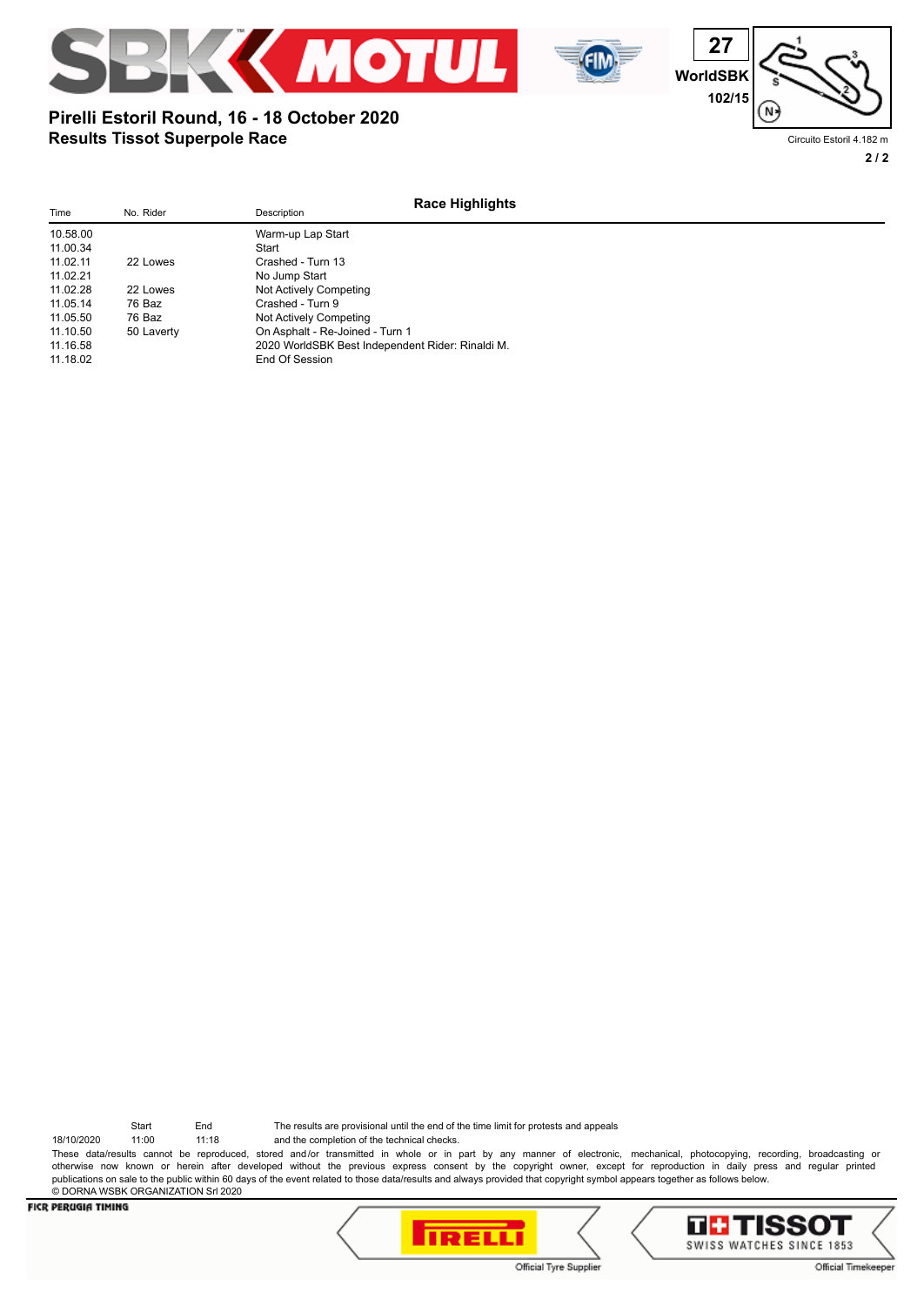



## Circuito Estoril 4.182 m

## **2 / 2**

## **Results Tissot Superpole Race Pirelli Estoril Round, 16 - 18 October 2020**

| Time     | No. Rider  | Description                                      | <b>Race Highlights</b> |
|----------|------------|--------------------------------------------------|------------------------|
| 10.58.00 |            | Warm-up Lap Start                                |                        |
| 11.00.34 |            | Start                                            |                        |
| 11.02.11 | 22 Lowes   | Crashed - Turn 13                                |                        |
| 11.02.21 |            | No Jump Start                                    |                        |
| 11.02.28 | 22 Lowes   | Not Actively Competing                           |                        |
| 11.05.14 | 76 Baz     | Crashed - Turn 9                                 |                        |
| 11.05.50 | 76 Baz     | Not Actively Competing                           |                        |
| 11.10.50 | 50 Laverty | On Asphalt - Re-Joined - Turn 1                  |                        |
| 11.16.58 |            | 2020 WorldSBK Best Independent Rider: Rinaldi M. |                        |
| 11.18.02 |            | End Of Session                                   |                        |

Start End The results are provisional until the end of the time limit for protests and appeals

18/10/2020 11:00 11:18 and the completion of the technical checks. These data/results cannot be reproduced, stored and/or transmitted in whole or in part by any manner of electronic, mechanical, photocopying, recording, broadcasting or otherwise now known or herein after developed without the previous express consent by the copyright owner, except for reproduction in daily press and regular printed publications on sale to the public within 60 days of the event related to those data/results and always provided that copyright symbol appears together as follows below. © DORNA WSBK ORGANIZATION Srl 2020



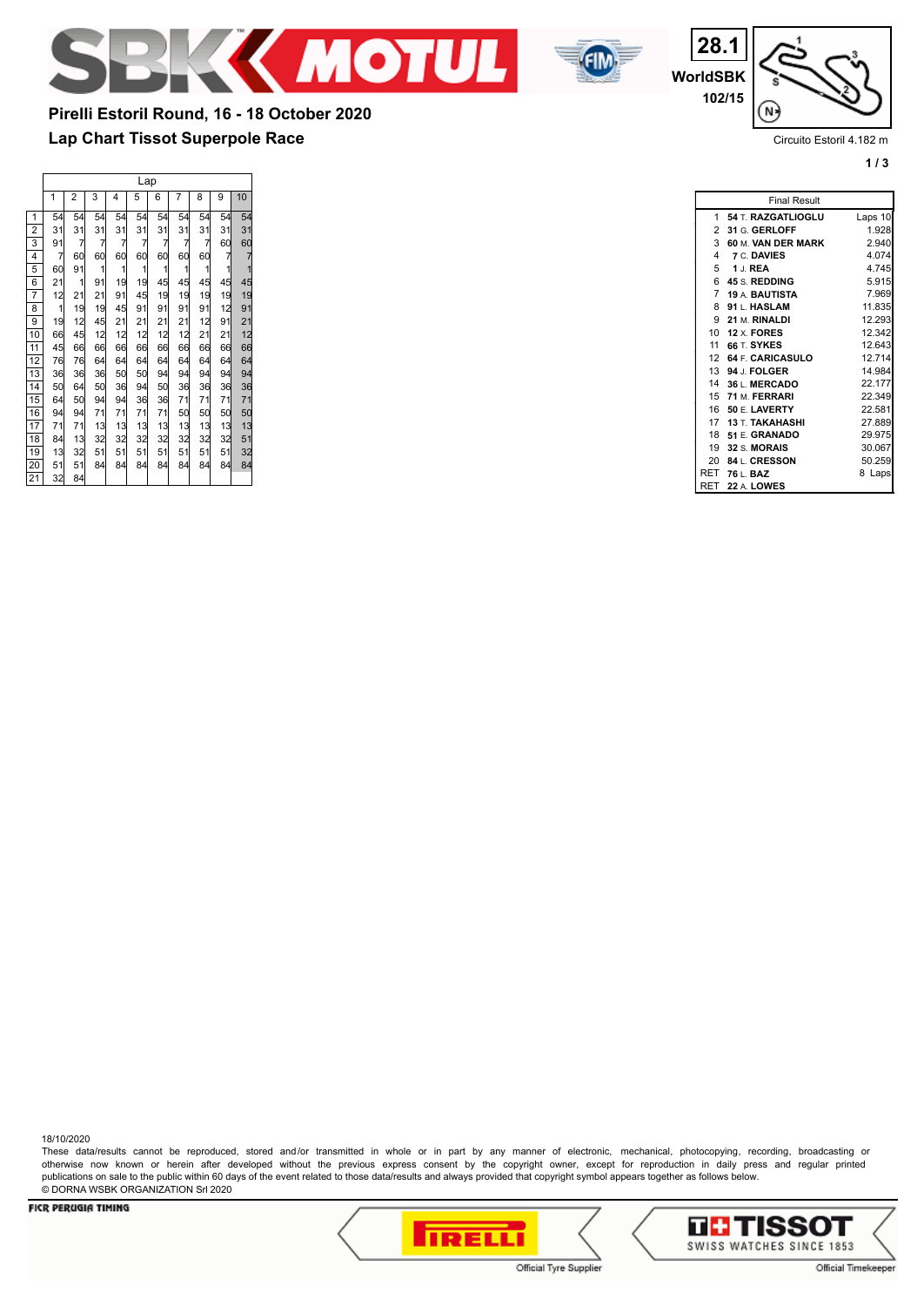



**WorldSBK 28.1 102/15**



Circuito Estoril 4.182 m

**1 / 3**

**Lap Chart Tissot Superpole Race Pirelli Estoril Round, 16 - 18 October 2020**

|                 |                                        | Lap            |                 |                         |                |                |                                         |                |                                       |                                               |  |
|-----------------|----------------------------------------|----------------|-----------------|-------------------------|----------------|----------------|-----------------------------------------|----------------|---------------------------------------|-----------------------------------------------|--|
|                 | 1                                      | 2              | 3               | 4                       | 5              | 6              | 7                                       | 8              | 9                                     | 10                                            |  |
| 1               | 54                                     | 54             | 54              | 54                      | 54             | 54             | 54                                      | 54             | 54                                    | 54                                            |  |
| $\overline{2}$  | 31                                     | 31             | 31              | 31                      | 31             | 31             | 31                                      | 31             | 31                                    | 31                                            |  |
| 3               | 91                                     | $\overline{7}$ | $\overline{7}$  | $\overline{7}$          | $\overline{7}$ | $\overline{7}$ | $\overline{7}$                          | $\overline{7}$ | 60                                    | 60                                            |  |
| 4               | $\overline{7}$                         | 60             | 60              | 60                      | 60             | 60             | 60                                      | 60             | $\begin{array}{c} 7 \\ 1 \end{array}$ | $\begin{array}{c} 7 \\ 1 \end{array}$         |  |
| 5               | 60                                     | 91             | 1               | $\overline{\mathbf{1}}$ | 1              | $\mathbf{1}$   | $\mathbf{1}$                            | 1              |                                       |                                               |  |
| 6               | $\overline{21}$                        | $\mathbf{1}$   | 91              | 19                      | 19             | 45             | 45                                      | 45             | 45                                    | 45                                            |  |
| 7               | 12                                     | 21             | $\frac{21}{19}$ | 91                      | 45             | 19             | 19                                      | 19             | 19                                    | 19                                            |  |
| $\overline{8}$  | $\begin{array}{c} 1 \\ 19 \end{array}$ | 19             |                 | 45                      | 91             | 91             | 91                                      | 91             | 12                                    | $\begin{array}{c} 91 \\ 21 \\ 12 \end{array}$ |  |
| $\overline{9}$  |                                        | 12             | 45              | 21                      | 21             | 21             | $\begin{array}{c} 21 \\ 12 \end{array}$ | 12             | 91                                    |                                               |  |
| 10              | 66                                     | 45             | 12              | $12$                    | 12             | 12             |                                         | 21<br>66       | 21                                    |                                               |  |
| $\overline{11}$ | 45                                     | 66             | 66              | 66                      | 66             | 66             | 66                                      |                | 66                                    | 66                                            |  |
| $\overline{12}$ | 76                                     | 76             | 64              | 64                      | 64             | 64             | 64                                      | 64             | 64                                    | 64<br>94                                      |  |
| $\overline{13}$ | 36                                     | 36             | 36              | 50                      | 50             | 94             | 94                                      | 94             | 94                                    |                                               |  |
| 14              | 50                                     | 64             | 50              | 36                      | 94             | 50             | 36                                      | 36             | 36                                    |                                               |  |
| 15              | 64                                     | 50             | 94              | 94                      | 36             | 36             | 71                                      | 71             | 71                                    | 36<br>71<br>50                                |  |
| $\overline{16}$ | 94                                     | 94             | 71              | 71                      | 71             | 71             | 50                                      | 50             | 50                                    |                                               |  |
| $\overline{17}$ | 71                                     | 71             | 13              | 13                      | 13             | 13             | 13                                      | 13             | 13                                    | 13                                            |  |
| $\overline{18}$ | 84                                     | 13             | 32              | 32                      | 32             | 32             | 32                                      | 32             | 32                                    | 51                                            |  |
| 19              | 13                                     | 32             | 51              | 51                      | 51             | 51             | 51                                      | 51             | 51                                    | 32                                            |  |
| 20              | 51                                     | 51             | 84              | 84                      | 84             | 84             | 84                                      | 84             | 84                                    | 84                                            |  |
| 21              | 32                                     | 84             |                 |                         |                |                |                                         |                |                                       |                                               |  |

|              | <b>Final Result</b>    |         |
|--------------|------------------------|---------|
| 1            | 54 T. RAZGATLIOGLU     | Laps 10 |
| $\mathbf{2}$ | 31 G. GERLOFF          | 1.928   |
| 3            | 60 M. VAN DER MARK     | 2.940   |
| 4            | 7 C. DAVIES            | 4.074   |
| 5            | 1 J. REA               | 4.745   |
|              | 6 45 S. REDDING        | 5.915   |
|              | 7 19 A. BAUTISTA       | 7.969   |
| 8            | 91 L. HASLAM           | 11.835  |
| 9            | 21 M. RINALDI          | 12.293  |
|              | 10 12 X. FORES         | 12.342  |
| 11           | 66 T. SYKES            | 12.643  |
| 12           | 64 F. CARICASULO       | 12.714  |
| 13           | 94 J. FOLGER           | 14.984  |
| 14           | 36 L. MERCADO          | 22.177  |
|              | 15 71 M. FERRARI       | 22.349  |
| 16           | 50 E. LAVERTY          | 22.581  |
| 17           | <b>13 T. TAKAHASHI</b> | 27.889  |
| 18           | 51 E. GRANADO          | 29.975  |
| 19           | 32 S. MORAIS           | 30.067  |
| 20           | 84 L. CRESSON          | 50.259  |
| <b>RET</b>   | 76 L. BAZ              | 8 Laps  |
| RET          | 22 A. LOWES            |         |

18/10/2020

These data/results cannot be reproduced, stored and/or transmitted in whole or in part by any manner of electronic, mechanical, photocopying, recording, broadcasting or otherwise now known or herein after developed without the previous express consent by the copyright owner, except for reproduction in daily press and regular printed publications on sale to the public within 60 days of the event related to those data/results and always provided that copyright symbol appears together as follows below. © DORNA WSBK ORGANIZATION Srl 2020



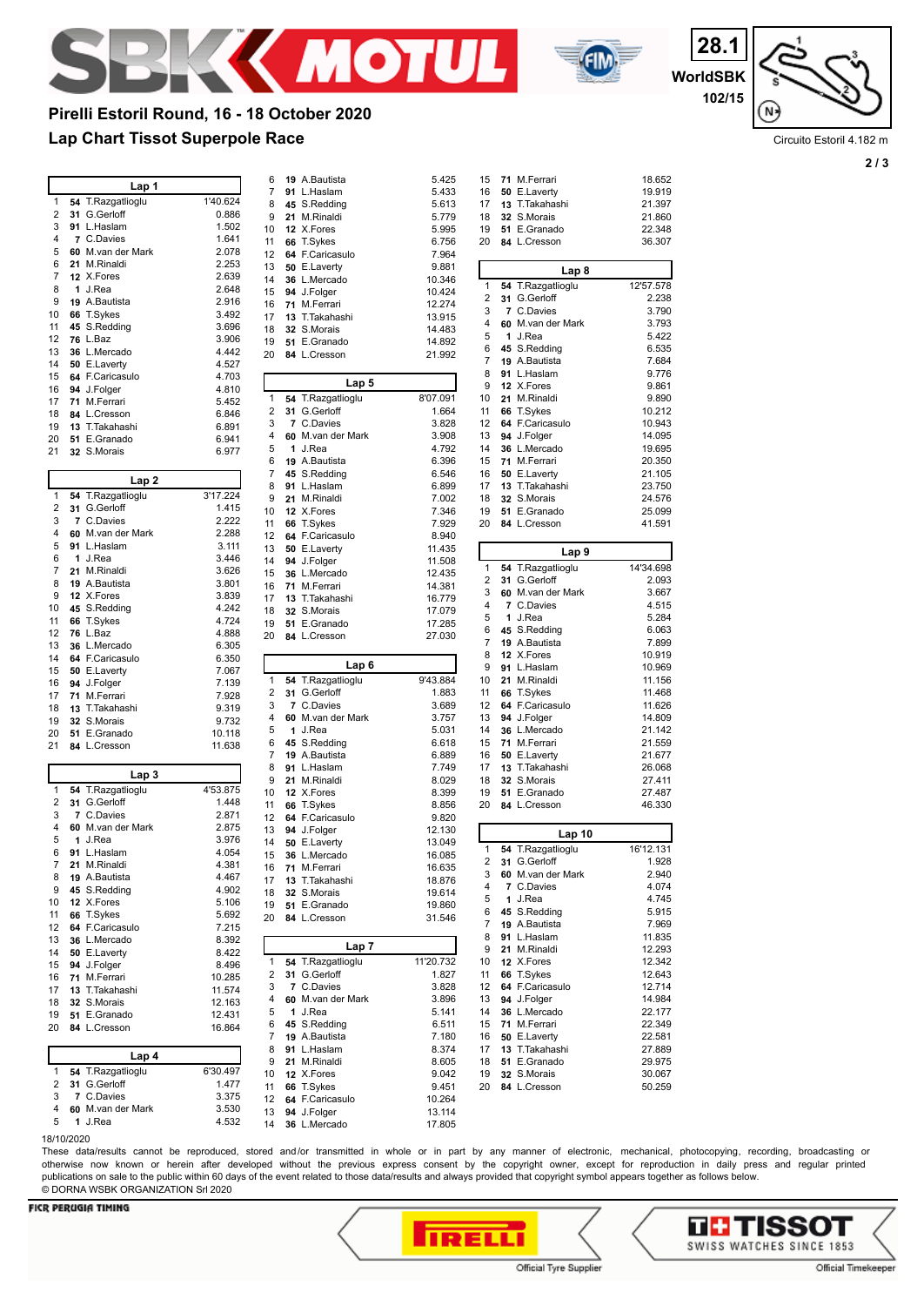



**WorldSBK 28.1 102/15**

N

Circuito Estoril 4.182 m

**2 / 3**

# **Lap Chart Tissot Superpole Race Pirelli Estoril Round, 16 - 18 October 2020**

|                                       | Lap 1                             |                   | 6        | 19 A.Bautista                   | 5.425                                                                                                                                                                                                                                                                            |
|---------------------------------------|-----------------------------------|-------------------|----------|---------------------------------|----------------------------------------------------------------------------------------------------------------------------------------------------------------------------------------------------------------------------------------------------------------------------------|
| 1                                     |                                   |                   | 7        | 91 L.Haslam                     | 5.433                                                                                                                                                                                                                                                                            |
| 2                                     | 54 T.Razgatlioglu<br>31 G.Gerloff | 1'40.624<br>0.886 | 8        | 45 S.Redding                    | 5.613                                                                                                                                                                                                                                                                            |
| 3                                     | 91 L.Haslam                       | 1.502             | 9        | 21 M.Rinaldi                    | 5.779                                                                                                                                                                                                                                                                            |
| 4                                     | 7 C.Davies                        | 1.641             | 10       | 12 X.Fores                      | 5.995                                                                                                                                                                                                                                                                            |
| 5                                     | 60 M.van der Mark                 | 2.078             | 11<br>12 | 66 T.Sykes<br>64 F.Caricasulo   | 6.756<br>7.964                                                                                                                                                                                                                                                                   |
| 6                                     | 21 M.Rinaldi                      | 2.253             | 13       | 50 E.Laverty                    | 9.881                                                                                                                                                                                                                                                                            |
| 7                                     | 12 X.Fores                        | 2.639             | 14       | 36 L.Mercado                    | 10.346                                                                                                                                                                                                                                                                           |
| 8                                     | 1 J.Rea                           | 2.648             | 15       | 94 J.Folger                     | 10.424                                                                                                                                                                                                                                                                           |
| 9                                     | 19 A.Bautista                     | 2.916             | 16       | 71 M.Ferrari                    | 12.274                                                                                                                                                                                                                                                                           |
| 10                                    | 66 T.Sykes                        | 3.492             | 17       | 13 T.Takahashi                  | 13.915                                                                                                                                                                                                                                                                           |
| 11                                    | 45 S.Redding                      | 3.696             | 18       | 32 S.Morais                     | 14.483                                                                                                                                                                                                                                                                           |
| 12                                    | 76 L.Baz                          | 3.906             | 19       | 51 E.Granado                    | 14.892                                                                                                                                                                                                                                                                           |
| 13                                    | 36 L.Mercado                      | 4.442             | 20       | 84 L.Cresson                    | 21.992                                                                                                                                                                                                                                                                           |
| 14                                    | 50 E.Laverty                      | 4.527             |          |                                 |                                                                                                                                                                                                                                                                                  |
| 15                                    | 64 F.Caricasulo                   | 4.703<br>4.810    |          | Lap 5                           |                                                                                                                                                                                                                                                                                  |
| 16<br>17                              | 94 J.Folger<br>71 M.Ferrari       | 5.452             | 1        | 54 T.Razgatlioglu               | 8'07.091                                                                                                                                                                                                                                                                         |
| 18                                    | 84 L.Cresson                      | 6.846             | 2        | 31 G.Gerloff                    | 1.664                                                                                                                                                                                                                                                                            |
| 19                                    | 13 T.Takahashi                    | 6.891             | 3        | 7 C.Davies                      | 3.828                                                                                                                                                                                                                                                                            |
| 20                                    | 51 E.Granado                      | 6.941             | 4        | 60 M.van der Mark               | 3.908                                                                                                                                                                                                                                                                            |
| 21                                    | 32 S.Morais                       | 6.977             | 5        | 1 J.Rea                         | 4.792                                                                                                                                                                                                                                                                            |
|                                       |                                   |                   | 6        | 19 A.Bautista                   | 6.396                                                                                                                                                                                                                                                                            |
|                                       | Lap 2                             |                   | 7        | 45 S.Redding                    | 6.546                                                                                                                                                                                                                                                                            |
| 1                                     | 54 T.Razgatlioglu                 | 3'17.224          | 8        | 91 L.Haslam                     | 6.899                                                                                                                                                                                                                                                                            |
| 2                                     | 31 G.Gerloff                      | 1.415             | 9        | 21 M.Rinaldi                    | 7.002                                                                                                                                                                                                                                                                            |
| 3                                     | 7 C.Davies                        | 2.222             | 10       | 12 X.Fores                      | 7.346                                                                                                                                                                                                                                                                            |
| 4                                     | 60 M.van der Mark                 | 2.288             | 11       | 66 T.Sykes                      | 7.929                                                                                                                                                                                                                                                                            |
| 5                                     | 91 L.Haslam                       | 3.111             | 12<br>13 | 64 F.Caricasulo<br>50 E.Laverty | 8.940<br>11.435                                                                                                                                                                                                                                                                  |
| 6                                     | 1 J.Rea                           | 3.446             | 14       | 94 J.Folger                     | 11.508                                                                                                                                                                                                                                                                           |
| 7                                     | 21 M.Rinaldi                      | 3.626             | 15       | 36 L.Mercado                    | 12.435                                                                                                                                                                                                                                                                           |
| 8                                     | 19 A.Bautista                     | 3.801             | 16       | 71 M.Ferrari                    | 14.381                                                                                                                                                                                                                                                                           |
| 9                                     | 12 X.Fores                        | 3.839             | 17       | 13 T. Takahashi                 | 16.779                                                                                                                                                                                                                                                                           |
| 10                                    | 45 S.Redding                      | 4.242             | 18       | 32 S.Morais                     | 17.079                                                                                                                                                                                                                                                                           |
| 11                                    | 66 T.Sykes                        | 4.724             | 19       | 51 E.Granado                    | 17.285                                                                                                                                                                                                                                                                           |
| 12                                    | 76 L.Baz                          | 4.888             | 20       | 84 L.Cresson                    | 27.030                                                                                                                                                                                                                                                                           |
| 13<br>14                              | 36 L.Mercado                      | 6.305             |          |                                 |                                                                                                                                                                                                                                                                                  |
| 15                                    | 64 F.Caricasulo<br>50 E.Laverty   | 6.350<br>7.067    |          | Lap 6                           |                                                                                                                                                                                                                                                                                  |
|                                       |                                   |                   |          |                                 |                                                                                                                                                                                                                                                                                  |
|                                       |                                   |                   | 1        | 54 T.Razgatlioglu               |                                                                                                                                                                                                                                                                                  |
|                                       | 94 J.Folger                       | 7.139             | 2        | 31 G.Gerloff                    |                                                                                                                                                                                                                                                                                  |
|                                       | 71 M.Ferrari<br>13 T.Takahashi    | 7.928<br>9.319    | 3        | 7 C.Davies                      |                                                                                                                                                                                                                                                                                  |
|                                       | 32 S.Morais                       | 9.732             | 4        | 60 M.van der Mark               |                                                                                                                                                                                                                                                                                  |
|                                       | 51 E.Granado                      | 10.118            | 5        | 1 J.Rea                         |                                                                                                                                                                                                                                                                                  |
|                                       | 84 L.Cresson                      | 11.638            | 6        | 45 S.Redding                    |                                                                                                                                                                                                                                                                                  |
|                                       |                                   |                   | 7        | 19 A.Bautista                   |                                                                                                                                                                                                                                                                                  |
|                                       | Lap <sub>3</sub>                  |                   | 8        | 91 L.Haslam                     |                                                                                                                                                                                                                                                                                  |
| 1                                     |                                   | 4'53.875          | 9        | 21 M.Rinaldi                    |                                                                                                                                                                                                                                                                                  |
| 2                                     | 54 T.Razgatlioglu<br>31 G.Gerloff | 1.448             | 10       | 12 X.Fores                      |                                                                                                                                                                                                                                                                                  |
| 3                                     | 7 C.Davies                        | 2.871             | 11       | 66 T.Sykes                      |                                                                                                                                                                                                                                                                                  |
| 4                                     | 60 M.van der Mark                 | 2.875             | 12<br>13 | 64 F.Caricasulo<br>94 J.Folger  |                                                                                                                                                                                                                                                                                  |
| 5                                     | 1 J.Rea                           | 3.976             | 14       | 50 E.Laverty                    |                                                                                                                                                                                                                                                                                  |
| 6                                     | 91 L.Haslam                       | 4.054             | 15       | 36 L.Mercado                    |                                                                                                                                                                                                                                                                                  |
| 7                                     | 21 M Rinaldi                      | 4.381             |          | 16 71 M.Ferrari                 |                                                                                                                                                                                                                                                                                  |
| 16<br>17<br>18<br>19<br>20<br>21<br>8 | 19 A.Bautista                     | 4.467             | 17       | 13 T.Takahashi                  |                                                                                                                                                                                                                                                                                  |
| 9                                     | 45 S.Redding                      | 4.902             | 18       | 32 S.Morais                     |                                                                                                                                                                                                                                                                                  |
| 10                                    | 12 X.Fores                        | 5.106             | 19       | 51 E.Granado                    |                                                                                                                                                                                                                                                                                  |
|                                       | 66 T.Sykes                        | 5.692             | 20       | 84 L.Cresson                    |                                                                                                                                                                                                                                                                                  |
| 11<br>12                              | 64 F.Caricasulo                   | 7.215             |          |                                 |                                                                                                                                                                                                                                                                                  |
|                                       | 36 L.Mercado                      | 8.392             |          | Lap 7                           |                                                                                                                                                                                                                                                                                  |
|                                       | 50 E.Laverty                      | 8.422             | 1        | 54 T.Razgatlioglu               |                                                                                                                                                                                                                                                                                  |
|                                       | 94 J.Folger<br>71 M.Ferrari       | 8.496<br>10.285   | 2        | 31 G.Gerloff                    |                                                                                                                                                                                                                                                                                  |
|                                       | 13 T.Takahashi                    | 11.574            | 3        | 7 C.Davies                      |                                                                                                                                                                                                                                                                                  |
| 13<br>14<br>15<br>16<br>17<br>18      | 32 S.Morais                       | 12.163            | 4        | 60 M.van der Mark               |                                                                                                                                                                                                                                                                                  |
| 19                                    | 51 E.Granado                      | 12.431            | 5        | 1 J.Rea                         |                                                                                                                                                                                                                                                                                  |
|                                       | 84 L.Cresson                      | 16.864            | 6        | 45 S.Redding                    |                                                                                                                                                                                                                                                                                  |
|                                       |                                   |                   | 7        | 19 A.Bautista                   |                                                                                                                                                                                                                                                                                  |
| 20                                    | Lap 4                             |                   | 8        | 91 L.Haslam                     |                                                                                                                                                                                                                                                                                  |
| 1                                     | 54 T.Razgatlioglu                 | 6'30.497          | 9        | 21 M.Rinaldi                    | 9'43.884<br>1.883<br>3.689<br>3.757<br>5.031<br>6.618<br>6.889<br>7.749<br>8.029<br>8.399<br>8.856<br>9.820<br>12.130<br>13.049<br>16.085<br>16.635<br>18.876<br>19.614<br>19.860<br>31.546<br>11'20.732<br>1.827<br>3.828<br>3.896<br>5.141<br>6.511<br>7.180<br>8.374<br>8.605 |
|                                       | 31 G.Gerloff                      | 1.477             | 10       | 12 X.Fores                      | 9.042                                                                                                                                                                                                                                                                            |
|                                       | 7 C.Davies                        | 3.375             | 11<br>12 | 66 T.Sykes<br>64 F.Caricasulo   | 9.451<br>10.264                                                                                                                                                                                                                                                                  |
| 2<br>3<br>4<br>5                      | 60 M.van der Mark<br>1 J.Rea      | 3.530<br>4.532    | 13       | 94 J.Folger                     | 13.114                                                                                                                                                                                                                                                                           |

| 15       |                | 71 M.Ferrari                  | 18.652             |
|----------|----------------|-------------------------------|--------------------|
| 16       |                | 50 E.Laverty                  | 19.919             |
| 17       | 13             | T.Takahashi                   | 21.397             |
| 18       |                | 32 S.Morais                   | 21.860             |
| 19       |                | 51 E.Granado                  | 22.348             |
| 20       |                | 84 L.Cresson                  | 36.307             |
|          |                | Lap 8                         |                    |
| 1        | 54             | T.Razgatlioglu                | 12'57.578          |
| 2        | 31             | G.Gerloff                     | 2.238              |
| 3        | $\overline{7}$ | C.Davies<br>60 M.van der Mark | 3.790              |
| 4<br>5   | 1              | J.Rea                         | 3.793<br>5.422     |
| 6        | 45             | S.Redding                     | 6.535              |
| 7        |                | 19 A.Bautista                 | 7.684              |
| 8        | 91             | L.Haslam                      | 9.776              |
| 9        | 12             | X.Fores                       | 9.861              |
| 10       | 21             | M.Rinaldi                     | 9.890              |
| 11<br>12 | 66<br>64       | T.Sykes<br>F.Caricasulo       | 10.212<br>10.943   |
| 13       |                | 94 J.Folger                   | 14.095             |
| 14       |                | 36 L.Mercado                  | 19.695             |
| 15       | 71             | M.Ferrari                     | 20.350             |
| 16       |                | 50 E.Laverty                  | 21.105             |
| 17       |                | 13 T.Takahashi                | 23.750             |
| 18       | 32             | S.Morais                      | 24.576             |
| 19<br>20 | 51             | E.Granado<br>84 L.Cresson     | 25.099<br>41.591   |
|          |                |                               |                    |
|          |                | Lap 9                         |                    |
| 1<br>2   | 54<br>31       | T.Razgatlioglu<br>G.Gerloff   | 14'34.698<br>2.093 |
| 3        | 60             | M.van der Mark                | 3.667              |
| 4        | 7              | C.Davies                      | 4.515              |
| 5        | 1              | J.Rea                         | 5.284              |
| 6        | 45             | S.Redding                     | 6.063              |
| 7        | 19             | A.Bautista                    | 7.899              |
| 8<br>9   |                | 12 X.Fores<br>91 L.Haslam     | 10.919<br>10.969   |
| 10       | 21             | M.Rinaldi                     | 11.156             |
| 11       | 66             | T.Sykes                       | 11.468             |
| 12       | 64             | F.Caricasulo                  | 11.626             |
| 13       |                | 94 J.Folger                   | 14.809             |
| 14       |                | 36 L.Mercado                  | 21.142             |
| 15<br>16 | 50             | 71 M.Ferrari<br>E.Laverty     | 21.559<br>21.677   |
| 17       | 13             | T.Takahashi                   | 26.068             |
| 18       | 32             | S.Morais                      | 27.411             |
| 19       |                | 51 E.Granado                  | 27.487             |
| 20       |                | 84 L.Cresson                  | 46.330             |
|          |                | Lap 10                        |                    |
| 1        |                | 54 T.Razgatlioglu             | 16'12.131          |
| 2        |                | 31 G.Gerloff                  | 1.928              |
| 3        |                | 60 M.van der Mark             | 2.940              |
| 4<br>5   | 1              | 7 C.Davies<br>J.Rea           | 4.074<br>4.745     |
| 6        |                | 45 S.Redding                  | 5.915              |
| 7        |                | 19 A.Bautista                 | 7.969              |
| 8        |                | 91 L.Haslam                   | 11.835             |
| 9        |                | 21 M.Rinaldi                  | 12.293             |
| 10       |                | 12 X.Fores                    | 12.342             |
| 11<br>12 | 66             | T.Sykes<br>64 F.Caricasulo    | 12.643<br>12.714   |
| 13       |                | 94 J.Folger                   | 14.984             |
| 14       |                | 36 L.Mercado                  | 22.177             |
| 15       |                | 71 M.Ferrari                  | 22.349             |
|          |                |                               | 22.581             |
| 16       |                | 50 E.Laverty                  |                    |
| 17       | 13             | T.Takahashi                   | 27.889             |
| 18       |                | 51 E.Granado                  | 29.975             |
| 19<br>20 |                | 32 S.Morais<br>84 L.Cresson   | 30.067<br>50.259   |

18/10/2020

These data/results cannot be reproduced, stored and/or transmitted in whole or in part by any manner of electronic, mechanical, photocopying, recording, broadcasting or otherwise now known or herein after developed without the previous express consent by the copyright owner, except for reproduction in daily press and regular printed publications on sale to the public within 60 days of the event related to those data/results and always provided that copyright symbol appears together as follows below. © DORNA WSBK ORGANIZATION Srl 2020



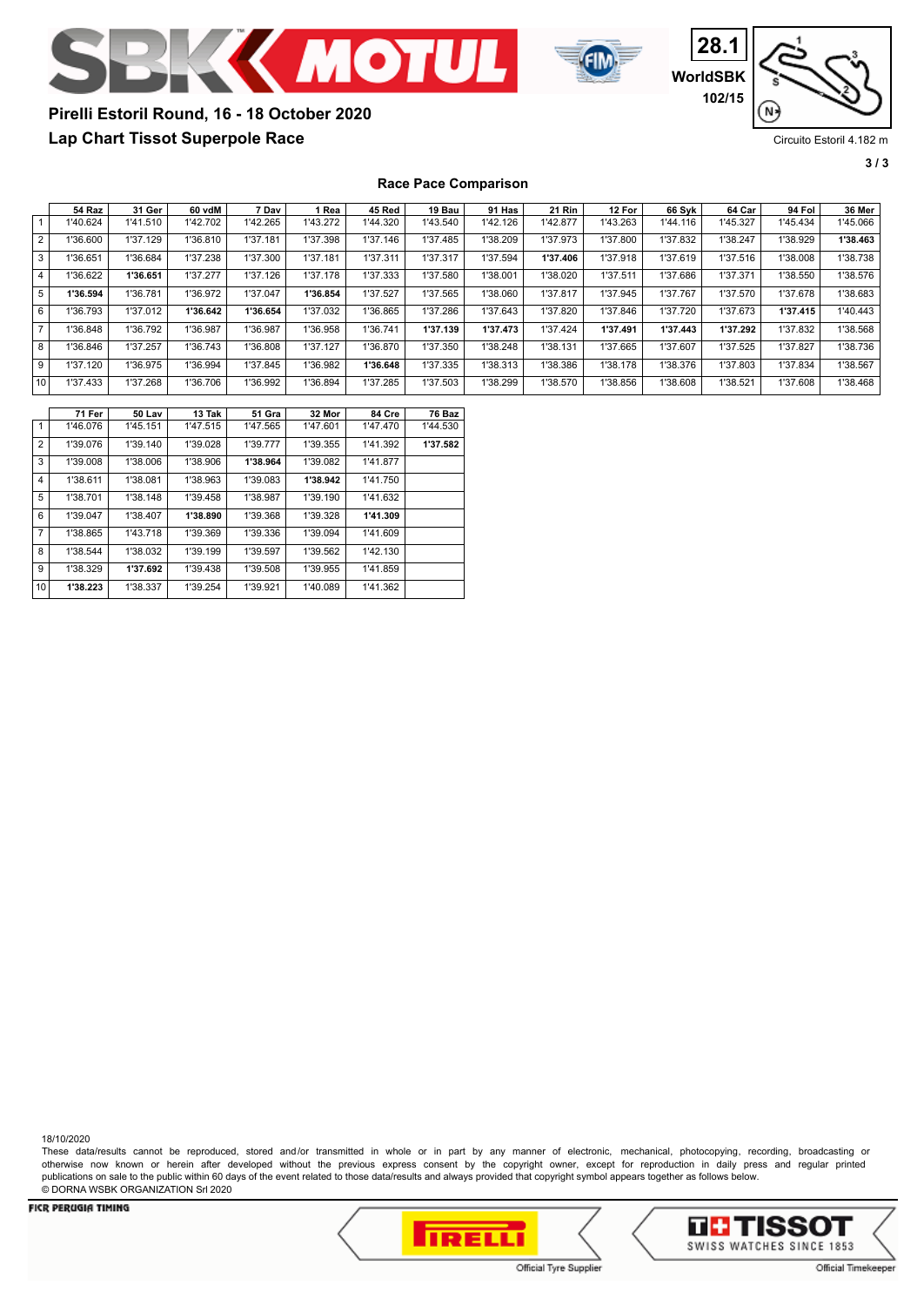



**28.1 WorldSBK 102/15** N

# **Lap Chart Tissot Superpole Race Pirelli Estoril Round, 16 - 18 October 2020**

Circuito Estoril 4.182 m

**3 / 3**

**Race Pace Comparison**

|                | 54 Raz   | 31 Ger   | 60 vdM   | 7 Dav    | 1 Rea    | 45 Red   | 19 Bau   | 91 Has   | <b>21 Rin</b> | 12 For   | 66 Svk   | 64 Car   | 94 Fol   | 36 Mer   |
|----------------|----------|----------|----------|----------|----------|----------|----------|----------|---------------|----------|----------|----------|----------|----------|
|                | 1'40.624 | 1'41.510 | 1'42.702 | 1'42.265 | 1'43.272 | 1'44.320 | 1'43.540 | 1'42.126 | 1'42.877      | 1'43.263 | 1'44.116 | 1'45.327 | 1'45.434 | 1'45.066 |
| $\overline{2}$ | 1'36.600 | 1'37.129 | 1'36.810 | 1'37.181 | 1'37.398 | 1'37.146 | 1'37.485 | 1'38.209 | 1'37.973      | 1'37.800 | 1'37.832 | 1'38.247 | 1'38.929 | 1'38.463 |
| 3              | 1'36.651 | 1'36.684 | 1'37.238 | 1'37.300 | 1'37.181 | 1'37.311 | 1'37.317 | 1'37.594 | 1'37.406      | 1'37.918 | 1'37.619 | 1'37.516 | 1'38.008 | 1'38.738 |
| 4              | 1'36.622 | 1'36.651 | 1'37.277 | 1'37.126 | 1'37.178 | 1'37.333 | 1'37.580 | 1'38.001 | 1'38.020      | 1'37.511 | 1'37.686 | 1'37.371 | 1'38.550 | 1'38.576 |
| 5              | 1'36.594 | 1'36.781 | 1'36.972 | 1'37.047 | 1'36.854 | 1'37.527 | 1'37.565 | 1'38.060 | 1'37.817      | 1'37.945 | 1'37.767 | 1'37.570 | 1'37.678 | 1'38.683 |
| 6              | 1'36.793 | 1'37.012 | 1'36.642 | 1'36.654 | 1'37.032 | 1'36.865 | 1'37.286 | 1'37.643 | 1'37.820      | 1'37.846 | 1'37.720 | 1'37.673 | 1'37.415 | 1'40.443 |
| $\overline{ }$ | 1'36.848 | 1'36.792 | 1'36.987 | 1'36.987 | 1'36.958 | 1'36.741 | 1'37.139 | 1'37.473 | 1'37.424      | 1'37.491 | 1'37.443 | 1'37.292 | 1'37.832 | 1'38.568 |
| 8              | 1'36.846 | 1'37.257 | 1'36.743 | 1'36.808 | 1'37.127 | 1'36.870 | 1'37.350 | 1'38.248 | 1'38.131      | 1'37.665 | 1'37.607 | 1'37.525 | 1'37.827 | 1'38.736 |
| 9              | 1'37.120 | 1'36.975 | 1'36.994 | 1'37.845 | 1'36.982 | 1'36.648 | 1'37.335 | 1'38.313 | 1'38.386      | 1'38.178 | 1'38.376 | 1'37.803 | 1'37.834 | 1'38.567 |
| 10             | 1'37.433 | 1'37.268 | 1'36.706 | 1'36.992 | 1'36.894 | 1'37.285 | 1'37.503 | 1'38.299 | 1'38.570      | 1'38.856 | 1'38.608 | 1'38.521 | 1'37.608 | 1'38.468 |

|                 | 71 Fer   | 50 Lav   | 13 Tak   | 51 Gra   | 32 Mor   | 84 Cre   | 76 Baz   |
|-----------------|----------|----------|----------|----------|----------|----------|----------|
| $\mathbf{1}$    | 1'46.076 | 1'45.151 | 1'47.515 | 1'47.565 | 1'47.601 | 1'47.470 | 1'44.530 |
| $\overline{2}$  | 1'39.076 | 1'39.140 | 1'39.028 | 1'39.777 | 1'39.355 | 1'41.392 | 1'37.582 |
| 3               | 1'39.008 | 1'38.006 | 1'38.906 | 1'38.964 | 1'39.082 | 1'41.877 |          |
| 4               | 1'38.611 | 1'38.081 | 1'38.963 | 1'39.083 | 1'38.942 | 1'41.750 |          |
| 5               | 1'38.701 | 1'38.148 | 1'39.458 | 1'38.987 | 1'39.190 | 1'41.632 |          |
| 6               | 1'39.047 | 1'38.407 | 1'38.890 | 1'39.368 | 1'39.328 | 1'41.309 |          |
| $\overline{7}$  | 1'38.865 | 1'43.718 | 1'39.369 | 1'39.336 | 1'39.094 | 1'41.609 |          |
| 8               | 1'38.544 | 1'38.032 | 1'39.199 | 1'39.597 | 1'39.562 | 1'42.130 |          |
| 9               | 1'38.329 | 1'37.692 | 1'39.438 | 1'39.508 | 1'39.955 | 1'41.859 |          |
| 10 <sup>1</sup> | 1'38.223 | 1'38.337 | 1'39.254 | 1'39.921 | 1'40.089 | 1'41.362 |          |

18/10/2020

These data/results cannot be reproduced, stored and/or transmitted in whole or in part by any manner of electronic, mechanical, photocopying, recording, broadcasting or otherwise now known or herein after developed without the previous express consent by the copyright owner, except for reproduction in daily press and regular printed publications on sale to the public within 60 days of the event related to those data/results and always provided that copyright symbol appears together as follows below. © DORNA WSBK ORGANIZATION Srl 2020



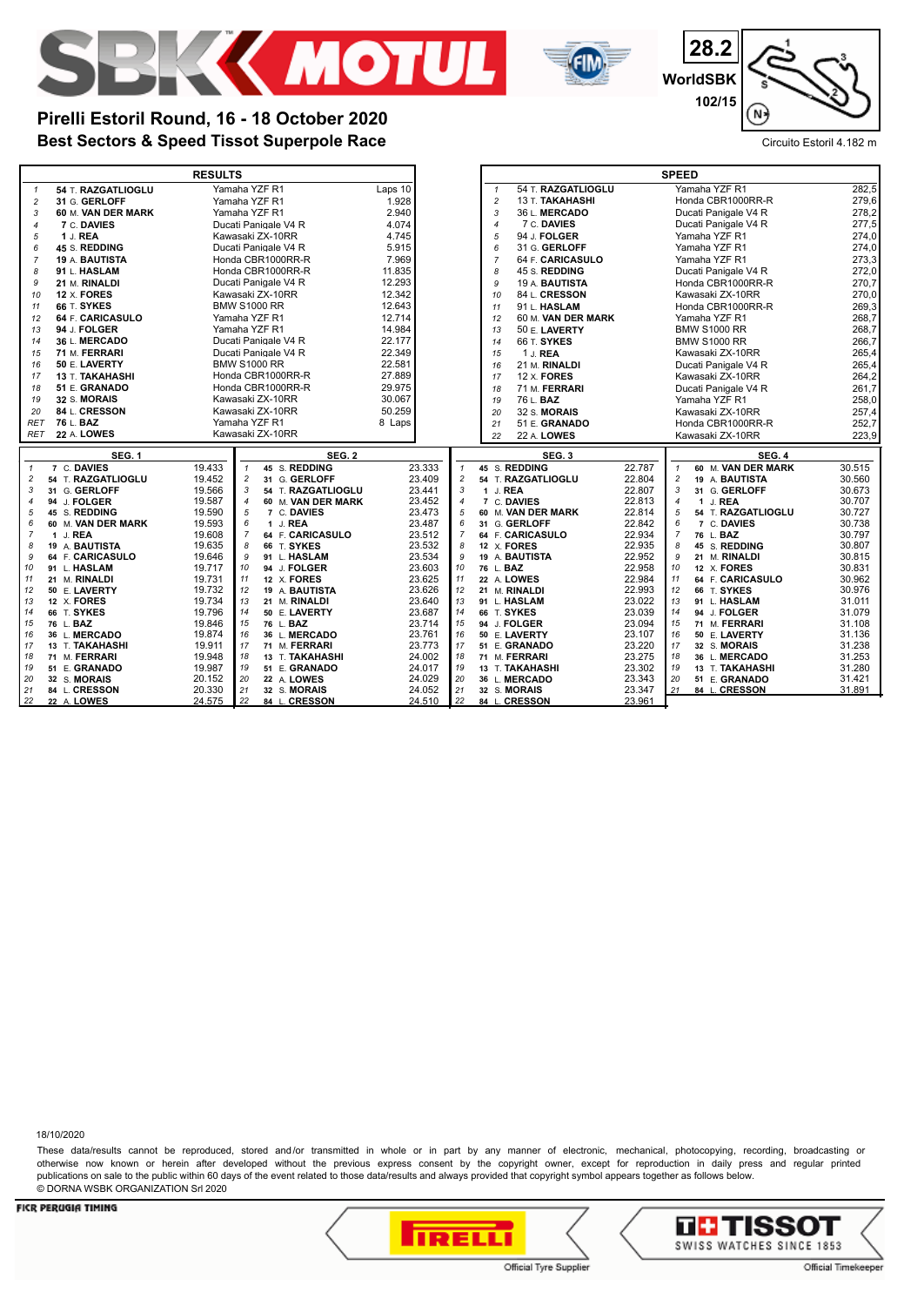



**28.2 WorldSBK 102/15** N.

# **Best Sectors & Speed Tissot Superpole Race** Circuito Estoril 4.182 m **Pirelli Estoril Round, 16 - 18 October 2020**

|                |                                   | <b>RESULTS</b>                                                       |                              |                                      |                       | <b>SPEED</b>                                           |                  |
|----------------|-----------------------------------|----------------------------------------------------------------------|------------------------------|--------------------------------------|-----------------------|--------------------------------------------------------|------------------|
| $\overline{1}$ | 54 T. RAZGATLIOGLU                | Yamaha YZF R1                                                        | Laps 10                      | $\mathbf{1}$                         | 54 T. RAZGATLIOGLU    | Yamaha YZF R1                                          | 282,5            |
| $\overline{c}$ | 31 G. GERLOFF                     | Yamaha YZF R1                                                        | 1.928                        | $\overline{c}$                       | 13 T. TAKAHASHI       | Honda CBR1000RR-R                                      | 279,6            |
| 3              | 60 M. VAN DER MARK                | Yamaha YZF R1                                                        | 2.940                        | 3                                    | 36 L. MERCADO         | Ducati Panigale V4 R                                   | 278,2            |
| $\overline{4}$ | 7 C. DAVIES                       | Ducati Panigale V4 R                                                 | 4.074                        | $\overline{4}$                       | 7 C. DAVIES           | Ducati Panigale V4 R                                   | 277,5            |
| 5              | 1 J. REA                          | Kawasaki ZX-10RR                                                     | 4.745                        | 5                                    | 94 J. FOLGER          | Yamaha YZF R1                                          | 274,0            |
| 6              | 45 S. REDDING                     | Ducati Panigale V4 R                                                 | 5.915                        | 6                                    | 31 G. GERLOFF         | Yamaha YZF R1                                          | 274,0            |
| 7              | <b>19 A. BAUTISTA</b>             | Honda CBR1000RR-R                                                    | 7.969                        | $\overline{7}$                       | 64 F. CARICASULO      | Yamaha YZF R1                                          | 273,3            |
| 8              | 91 L. HASLAM                      | Honda CBR1000RR-R                                                    | 11.835                       | 8                                    | 45 S. REDDING         | Ducati Panigale V4 R                                   | 272,0            |
| 9              | 21 M. RINALDI                     | Ducati Panigale V4 R                                                 | 12.293                       | 9                                    | 19 A. <b>BAUTISTA</b> | Honda CBR1000RR-R                                      | 270,7            |
| 10             | 12 X. FORES                       | Kawasaki ZX-10RR                                                     | 12.342                       | 10                                   | 84 L. CRESSON         | Kawasaki ZX-10RR                                       | 270,0            |
| 11             | 66 T. SYKES                       | <b>BMW S1000 RR</b>                                                  | 12.643                       | 11                                   | 91 L. HASLAM          | Honda CBR1000RR-R                                      | 269,3            |
| 12             | 64 F. CARICASULO                  | Yamaha YZF R1                                                        | 12.714                       | 12                                   | 60 M. VAN DER MARK    | Yamaha YZF R1                                          | 268,7            |
| 13             | 94 J. FOLGER                      | Yamaha YZF R1                                                        | 14.984                       | 13                                   | 50 E. LAVERTY         | <b>BMW S1000 RR</b>                                    | 268,7            |
| 14             | 36 L. MERCADO                     | Ducati Panigale V4 R                                                 | 22.177                       | 14                                   | 66 T. SYKES           | <b>BMW S1000 RR</b>                                    | 266,7            |
| 15             | 71 M. FERRARI                     | Ducati Panigale V4 R                                                 | 22.349                       | 15                                   | 1 J. REA              | Kawasaki ZX-10RR                                       | 265,4            |
| 16             | 50 E. LAVERTY                     | <b>BMW S1000 RR</b>                                                  | 22.581                       | 16                                   | 21 M. RINALDI         | Ducati Panigale V4 R                                   | 265,4            |
| 17             | 13 T. TAKAHASHI                   | Honda CBR1000RR-R                                                    | 27.889                       | 17                                   | $12 \times$ FORES     | Kawasaki ZX-10RR                                       | 264,2            |
| 18             | 51 E. GRANADO                     | Honda CBR1000RR-R                                                    | 29.975                       | 18                                   | 71 M. FERRARI         | Ducati Panigale V4 R                                   | 261,7            |
| 19             | 32 S. MORAIS                      | Kawasaki ZX-10RR                                                     | 30.067                       | 19                                   | 76 L. <b>BAZ</b>      | Yamaha YZF R1                                          | 258,0            |
| 20             | 84 L. CRESSON                     | Kawasaki ZX-10RR                                                     | 50.259                       | 20                                   | 32 S. MORAIS          | Kawasaki ZX-10RR                                       | 257,4            |
| <b>RET</b>     | 76 L. BAZ                         | Yamaha YZF R1                                                        | 8 Laps                       | 21                                   | 51 E. GRANADO         | Honda CBR1000RR-R                                      | 252,7            |
| <b>RET</b>     | 22 A. LOWES                       | Kawasaki ZX-10RR                                                     |                              | 22                                   | 22 A. LOWES           | Kawasaki ZX-10RR                                       | 223,9            |
|                |                                   |                                                                      |                              |                                      |                       |                                                        |                  |
|                | <b>SEG. 1</b>                     | <b>SEG. 2</b>                                                        |                              |                                      | SEG.3                 | SEG. 4                                                 |                  |
| $\mathbf{1}$   |                                   | $\mathbf{1}$                                                         | $\mathbf{1}$                 | 45 S. REDDING                        |                       | $\mathbf{1}$                                           |                  |
| $\overline{c}$ | 7 C. DAVIES<br>54 T. RAZGATLIOGLU | 19.433<br>45 S. REDDING<br>19.452<br>$\overline{c}$<br>31 G. GERLOFF | 23.333<br>23.409             | $\overline{c}$<br>54 T. RAZGATLIOGLU | 22.787<br>22.804      | 60 M. VAN DER MARK<br>$\overline{c}$<br>19 A. BAUTISTA | 30.515<br>30.560 |
| 3              | 31 G. GERLOFF                     | 19.566<br>3<br>54 T. RAZGATLIOGLU                                    | 23.441                       | 3<br>1 J. REA                        | 22.807                | 3<br>31 G. GERLOFF                                     | 30.673           |
| $\overline{4}$ | 94 J. FOLGER                      | 19.587<br>$\overline{4}$<br>60 M. VAN DER MARK                       | 23.452<br>$\overline{4}$     | 7 C. DAVIES                          | 22.813                | $\overline{4}$<br>1 J. REA                             | 30.707           |
| 5              | 45 S. REDDING                     | 5<br>19.590<br>7 C. DAVIES                                           | 23.473                       | 5<br>60 M. VAN DER MARK              | 22.814                | 5<br>54 T. RAZGATLIOGLU                                | 30.727           |
| 6              | 60 M. VAN DER MARK                | 19.593<br>$\epsilon$<br>1 J. REA                                     | 23.487                       | 6<br>31 G. GERLOFF                   | 22.842                | 6<br>7 C. DAVIES                                       | 30.738           |
| $\overline{7}$ | 1 J. REA                          | 19.608<br>$\overline{7}$<br>64 F. CARICASULO                         | 23.512<br>$\overline{7}$     | 64 F. CARICASULO                     | 22.934                | $\overline{7}$<br>76 L. BAZ                            | 30.797           |
| 8              | 19 A. BAUTISTA                    | 19.635<br>66 T. SYKES<br>8                                           | 23.532                       | 8<br>12 X. FORES                     | 22.935                | 8<br>45 S. REDDING                                     | 30.807           |
| 9              | 64 F. CARICASULO                  | 19.646<br>9<br>91 L. HASLAM                                          | 23.534                       | 9<br>19 A. BAUTISTA                  | 22.952                | 9<br>21 M. RINALDI                                     | 30.815           |
| 10             | 91 L. HASLAM                      | 19.717<br>94 J. FOLGER<br>10                                         | 23.603<br>10                 | 76 L. BAZ                            | 22.958                | 10<br>12 X. FORES                                      | 30.831           |
| 11             | 21 M. RINALDI                     | 19.731<br>11<br>12 X. FORES                                          | 23.625<br>11                 | 22 A. LOWES                          | 22.984                | 11<br>64 F. CARICASULO                                 | 30.962           |
| 12             | 50 E. LAVERTY                     | 19.732<br>12<br>19 A. BAUTISTA                                       | 23.626<br>12                 | 21 M. RINALDI                        | 22.993                | 66 T. SYKES<br>12                                      | 30.976           |
| 13             | 12 X. FORES                       | 19.734<br>13<br>21 M. RINALDI                                        | 23.640<br>13                 | 91 L. HASLAM                         | 23.022                | 13<br>91 L. HASLAM                                     | 31.011           |
| 14             | 66 T. SYKES                       | 19.796<br>14<br>50 E. LAVERTY                                        | 23.687<br>14                 | 66 T. SYKES                          | 23.039                | 14<br>94 J. FOLGER                                     | 31.079           |
| 15             | 76 L. BAZ                         | 15<br>19.846<br>76 L. BAZ                                            | 23.714<br>15                 | 94 J. FOLGER                         | 23.094                | 15<br>71 M. FERRARI                                    | 31.108           |
| 16             | 36 L. MERCADO                     | 19.874<br>16<br>36 L. MERCADO                                        | 23.761<br>16                 | 50 E. LAVERTY                        | 23.107                | 16<br>50 E. LAVERTY                                    | 31.136           |
| 17             | 13 T. TAKAHASHI                   | 19.911<br>17<br>71 M. FERRARI                                        | 23.773<br>17                 | 51 E. GRANADO                        | 23.220                | 17<br>32 S. MORAIS                                     | 31.238           |
| 18             | 71 M. FERRARI                     | 18<br>19.948<br>13 T. TAKAHASHI                                      | 24.002<br>18                 | 71 M. FERRARI                        | 23.275                | 18<br>36 L. MERCADO                                    | 31.253           |
| 19             | 51 E. GRANADO                     | 19.987<br>19<br>51 E. GRANADO                                        | 19<br>24.017                 | 13 T. TAKAHASHI                      | 23.302                | 19<br>13 T. TAKAHASHI                                  | 31.280           |
| 20             | 32 S. MORAIS                      | 20.152<br>20<br>22 A. LOWES                                          | 24.029<br>20                 | 36 L. MERCADO                        | 23.343                | 20<br>51 E. GRANADO                                    | 31.421           |
| 21<br>22       | 84 L. CRESSON<br>22 A. LOWES      | 20.330<br>21<br>32 S. MORAIS<br>24.575<br>22<br>84 L. CRESSON        | 24.052<br>21<br>24.510<br>22 | 32 S. MORAIS<br>84 L. CRESSON        | 23.347<br>23.961      | 21<br>84 L. CRESSON                                    | 31.891           |

18/10/2020

These data/results cannot be reproduced, stored and/or transmitted in whole or in part by any manner of electronic, mechanical, photocopying, recording, broadcasting or otherwise now known or herein after developed without the previous express consent by the copyright owner, except for reproduction in daily press and regular printed publications on sale to the public within 60 days of the event related to those data/results and always provided that copyright symbol appears together as follows below. © DORNA WSBK ORGANIZATION Srl 2020



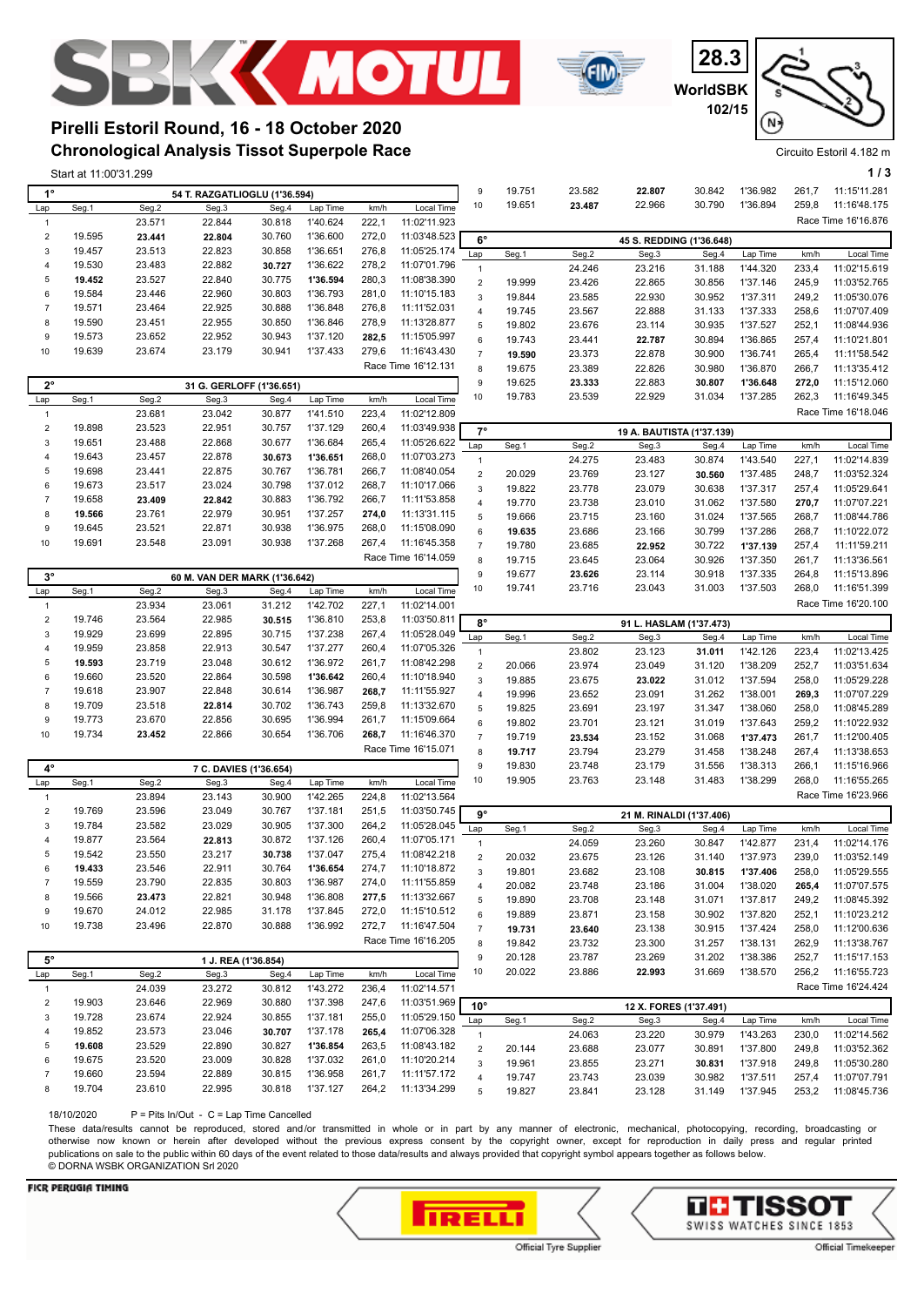





**Chronological Analysis Tissot Superpole Race Pirelli Estoril Round, 16 - 18 October 2020**

|                         | Start at 11:00'31.299<br>54 T. RAZGATLIOGLU (1'36.594) |                  |                               |        |                      |                |                     |                  |                  |                  |                           |                  |                      |                | 1/3                          |
|-------------------------|--------------------------------------------------------|------------------|-------------------------------|--------|----------------------|----------------|---------------------|------------------|------------------|------------------|---------------------------|------------------|----------------------|----------------|------------------------------|
| $1^{\circ}$             |                                                        |                  |                               |        |                      |                |                     | 9                | 19.751           | 23.582           | 22.807                    | 30.842           | 1'36.982             | 261,7          | 11:15'11.281                 |
| Lap                     | Seg.1                                                  | Seg.2            | Seg.3                         | Seg.4  | Lap Time             | km/h           | Local Time          | 10               | 19.651           | 23.487           | 22.966                    | 30.790           | 1'36.894             | 259,8          | 11:16'48.175                 |
| $\mathbf{1}$            |                                                        | 23.571           | 22.844                        | 30.818 | 1'40.624             | 222,1          | 11:02'11.923        |                  |                  |                  |                           |                  |                      |                | Race Time 16'16.876          |
| $\boldsymbol{2}$        | 19.595                                                 | 23.441           | 22.804                        | 30.760 | 1'36.600             | 272,0          | 11:03'48.523        |                  |                  |                  |                           |                  |                      |                |                              |
| 3                       | 19.457                                                 | 23.513           | 22.823                        | 30.858 | 1'36.651             | 276,8          | 11:05'25.174        | $6^{\circ}$      |                  |                  | 45 S. REDDING (1'36.648)  |                  |                      |                |                              |
| 4                       | 19.530                                                 | 23.483           | 22.882                        | 30.727 | 1'36.622             | 278,2          | 11:07'01.796        | Lap              | Seg.1            | Seg.2            | Seg.3                     | Seg.4            | Lap Time             | km/h           | Local Time                   |
| 5                       | 19.452                                                 | 23.527           | 22.840                        | 30.775 | 1'36.594             | 280,3          | 11:08'38.390        | $\mathbf{1}$     |                  | 24.246           | 23.216                    | 31.188           | 1'44.320             | 233,4          | 11:02'15.619                 |
| 6                       | 19.584                                                 | 23.446           | 22.960                        | 30.803 | 1'36.793             | 281,0          | 11:10'15.183        | $\overline{2}$   | 19.999           | 23.426           | 22.865                    | 30.856           | 1'37.146             | 245,9          | 11:03'52.765                 |
| $\overline{7}$          | 19.571                                                 | 23.464           | 22.925                        | 30.888 | 1'36.848             | 276,8          | 11:11'52.031        | $\mathbf{3}$     | 19.844           | 23.585           | 22.930                    | 30.952           | 1'37.311             | 249,2          | 11:05'30.076                 |
|                         |                                                        |                  |                               |        |                      |                |                     | $\overline{4}$   | 19.745           | 23.567           | 22.888                    | 31.133           | 1'37.333             | 258,6          | 11:07'07.409                 |
| 8                       | 19.590                                                 | 23.451           | 22.955                        | 30.850 | 1'36.846             | 278,9          | 11:13'28.877        | 5                | 19.802           | 23.676           | 23.114                    | 30.935           | 1'37.527             | 252,1          | 11:08'44.936                 |
| 9                       | 19.573                                                 | 23.652           | 22.952                        | 30.943 | 1'37.120             | 282,5          | 11:15'05.997        | $\,6\,$          | 19.743           | 23.441           | 22.787                    | 30.894           | 1'36.865             | 257,4          | 11:10'21.801                 |
| 10                      | 19.639                                                 | 23.674           | 23.179                        | 30.941 | 1'37.433             | 279,6          | 11:16'43.430        | $\overline{7}$   | 19.590           | 23.373           | 22.878                    | 30.900           | 1'36.741             | 265,4          | 11:11'58.542                 |
|                         |                                                        |                  |                               |        |                      |                | Race Time 16'12.131 | 8                | 19.675           | 23.389           | 22.826                    | 30.980           | 1'36.870             | 266,7          | 11:13'35.412                 |
| $2^{\circ}$             |                                                        |                  | 31 G. GERLOFF (1'36.651)      |        |                      |                |                     | $\boldsymbol{9}$ | 19.625           | 23.333           | 22.883                    | 30.807           | 1'36.648             | 272,0          | 11:15'12.060                 |
| Lap                     | Seg.1                                                  | Seg.2            | Seg.3                         | Seg.4  | Lap Time             | km/h           | Local Time          | 10               | 19.783           | 23.539           | 22.929                    | 31.034           | 1'37.285             | 262,3          | 11:16'49.345                 |
| $\mathbf{1}$            |                                                        | 23.681           | 23.042                        | 30.877 | 1'41.510             | 223,4          | 11:02'12.809        |                  |                  |                  |                           |                  |                      |                | Race Time 16'18.046          |
| $\sqrt{2}$              | 19.898                                                 | 23.523           | 22.951                        | 30.757 | 1'37.129             | 260,4          | 11:03'49.938        | $7^\circ$        |                  |                  | 19 A. BAUTISTA (1'37.139) |                  |                      |                |                              |
| 3                       | 19.651                                                 | 23.488           | 22.868                        | 30.677 | 1'36.684             | 265,4          | 11:05'26.622        | Lap              | Seg.1            | Seg.2            | Seg.3                     | Seg.4            | Lap Time             | km/h           | Local Time                   |
| 4                       | 19.643                                                 | 23.457           | 22.878                        | 30.673 | 1'36.651             | 268,0          | 11:07'03.273        | $\mathbf{1}$     |                  | 24.275           | 23.483                    | 30.874           | 1'43.540             | 227,1          | 11:02'14.839                 |
| 5                       | 19.698                                                 | 23.441           | 22.875                        | 30.767 | 1'36.781             | 266,7          | 11:08'40.054        | $\sqrt{2}$       | 20.029           | 23.769           | 23.127                    | 30.560           | 1'37.485             | 248,7          | 11:03'52.324                 |
| 6                       | 19.673                                                 | 23.517           | 23.024                        | 30.798 | 1'37.012             | 268,7          | 11:10'17.066        | 3                | 19.822           | 23.778           | 23.079                    | 30.638           | 1'37.317             | 257,4          | 11:05'29.641                 |
| $\overline{7}$          | 19.658                                                 | 23.409           | 22.842                        | 30.883 | 1'36.792             | 266,7          | 11:11'53.858        | $\overline{4}$   | 19.770           | 23.738           | 23.010                    | 31.062           | 1'37.580             | 270,7          | 11:07'07.221                 |
| 8                       | 19.566                                                 | 23.761           | 22.979                        | 30.951 | 1'37.257             | 274,0          | 11:13'31.115        | $\mathbf 5$      | 19.666           | 23.715           | 23.160                    | 31.024           | 1'37.565             | 268,7          | 11:08'44.786                 |
| 9                       | 19.645                                                 | 23.521           | 22.871                        | 30.938 | 1'36.975             | 268,0          | 11:15'08.090        | 6                |                  |                  |                           |                  |                      |                |                              |
| 10                      | 19.691                                                 | 23.548           | 23.091                        | 30.938 | 1'37.268             | 267,4          | 11:16'45.358        | $\overline{7}$   | 19.635           | 23.686           | 23.166                    | 30.799           | 1'37.286             | 268,7          | 11:10'22.072                 |
|                         |                                                        |                  |                               |        |                      |                | Race Time 16'14.059 |                  | 19.780           | 23.685           | 22.952                    | 30.722           | 1'37.139             | 257,4          | 11:11'59.211                 |
|                         |                                                        |                  |                               |        |                      |                |                     | 8<br>9           | 19.715           | 23.645           | 23.064                    | 30.926<br>30.918 | 1'37.350             | 261,7<br>264,8 | 11:13'36.561                 |
| $3^{\circ}$             |                                                        |                  | 60 M. VAN DER MARK (1'36.642) |        |                      |                |                     |                  | 19.677           | 23.626           | 23.114                    |                  | 1'37.335             |                | 11:15'13.896                 |
| Lap                     | Seg.1                                                  | Seg.2            | Seg.3                         | Seg.4  | Lap Time             | km/h           | Local Time          | 10               | 19.741           | 23.716           | 23.043                    | 31.003           | 1'37.503             | 268,0          | 11:16'51.399                 |
| $\mathbf{1}$            |                                                        | 23.934           | 23.061                        | 31.212 | 1'42.702             | 227,1          | 11:02'14.001        |                  |                  |                  |                           |                  |                      |                | Race Time 16'20.100          |
| $\sqrt{2}$              | 19.746                                                 | 23.564           | 22.985                        | 30.515 | 1'36.810             | 253,8          | 11:03'50.811        | $8^{\circ}$      |                  |                  | 91 L. HASLAM (1'37.473)   |                  |                      |                |                              |
| 3                       | 19.929                                                 | 23.699           | 22.895                        | 30.715 | 1'37.238             | 267,4          | 11:05'28.049        | Lap              | Seg.1            | Seg.2            | Seg.3                     | Seg.4            | Lap Time             | km/h           | Local Time                   |
| 4                       | 19.959                                                 | 23.858           | 22.913                        | 30.547 | 1'37.277             | 260,4          | 11:07'05.326        | $\mathbf{1}$     |                  | 23.802           | 23.123                    | 31.011           | 1'42.126             | 223,4          | 11:02'13.425                 |
| 5                       | 19.593                                                 | 23.719           | 23.048                        | 30.612 | 1'36.972             | 261,7          | 11:08'42.298        | $\sqrt{2}$       | 20.066           | 23.974           | 23.049                    | 31.120           | 1'38.209             | 252,7          | 11:03'51.634                 |
| 6                       | 19.660                                                 | 23.520           | 22.864                        | 30.598 | 1'36.642             | 260,4          | 11:10'18.940        | $\mathsf 3$      | 19.885           | 23.675           | 23.022                    | 31.012           | 1'37.594             | 258,0          | 11:05'29.228                 |
| $\overline{7}$          | 19.618                                                 | 23.907           | 22.848                        | 30.614 | 1'36.987             | 268,7          | 11:11'55.927        | $\overline{4}$   | 19.996           | 23.652           | 23.091                    | 31.262           | 1'38.001             | 269,3          | 11:07'07.229                 |
| 8                       | 19.709                                                 | 23.518           | 22.814                        | 30.702 | 1'36.743             | 259,8          | 11:13'32.670        | $\mathbf 5$      | 19.825           | 23.691           | 23.197                    | 31.347           | 1'38.060             | 258,0          | 11:08'45.289                 |
| 9                       | 19.773                                                 | 23.670           | 22.856                        | 30.695 | 1'36.994             | 261,7          | 11:15'09.664        | 6                | 19.802           | 23.701           | 23.121                    | 31.019           | 1'37.643             | 259,2          | 11:10'22.932                 |
| 10                      | 19.734                                                 | 23.452           | 22.866                        | 30.654 | 1'36.706             | 268,7          | 11:16'46.370        | $\overline{7}$   | 19.719           | 23.534           | 23.152                    | 31.068           | 1'37.473             | 261,7          | 11:12'00.405                 |
|                         |                                                        |                  |                               |        |                      |                | Race Time 16'15.071 | 8                | 19.717           | 23.794           | 23.279                    | 31.458           | 1'38.248             | 267,4          | 11:13'38.653                 |
| $4^{\circ}$             |                                                        |                  | 7 C. DAVIES (1'36.654)        |        |                      |                |                     | $\boldsymbol{9}$ | 19.830           | 23.748           | 23.179                    | 31.556           | 1'38.313             | 266,1          | 11:15'16.966                 |
| Lap                     | Seg.1                                                  | Seg.2            | Seg.3                         | Seg.4  | Lap Time             | km/h           | Local Time          | 10               | 19.905           | 23.763           | 23.148                    | 31.483           | 1'38.299             | 268,0          | 11:16'55.265                 |
| 1                       |                                                        | 23.894           | 23.143                        | 30.900 | 1'42.265             | 224,8          | 11:02'13.564        |                  |                  |                  |                           |                  |                      |                | Race Time 16'23.966          |
| $\sqrt{2}$              | 19.769                                                 | 23.596           | 23.049                        | 30.767 | 1'37.181             | 251,5          | 11:03'50.745        |                  |                  |                  |                           |                  |                      |                |                              |
| 3                       | 19.784                                                 | 23.582           | 23.029                        | 30.905 | 1'37.300             | 264,2          | 11:05'28.045        | $9^{\circ}$      |                  |                  | 21 M. RINALDI (1'37.406)  |                  |                      |                |                              |
| 4                       | 19.877                                                 | 23.564           | 22.813                        | 30.872 | 1'37.126             | 260,4          | 11:07'05.171        | Lap              | Seg.1            | Seg.2            | Seg.3                     | Seg.4            | Lap Time             | km/h           | Local Time                   |
| 5                       | 19.542                                                 | 23.550           | 23.217                        | 30.738 | 1'37.047             | 275,4          | 11:08'42.218        | $\overline{1}$   |                  | 24.059           | 23.260                    | 30.847           | 1'42.877             | 231,4          | 11:02'14.176                 |
| 6                       | 19.433                                                 | 23.546           | 22.911                        | 30.764 | 1'36.654             | 274,7          | 11:10'18.872        | $\overline{2}$   | 20.032           | 23.675           | 23.126                    | 31.140           | 1'37.973             | 239,0          | 11:03'52.149                 |
| $\boldsymbol{7}$        | 19.559                                                 | 23.790           | 22.835                        | 30.803 | 1'36.987             | 274,0          | 11:11'55.859        | 3                | 19.801           | 23.682           | 23.108                    | 30.815           | 1'37.406             | 258,0          | 11:05'29.555                 |
| 8                       | 19.566                                                 |                  |                               | 30.948 |                      |                | 11:13'32.667        | $\sqrt{4}$       | 20.082           | 23.748           | 23.186                    | 31.004           | 1'38.020             | 265,4          | 11:07'07.575                 |
| 9                       | 19.670                                                 | 23.473<br>24.012 | 22.821<br>22.985              | 31.178 | 1'36.808<br>1'37.845 | 277,5<br>272,0 | 11:15'10.512        | 5                | 19.890           | 23.708           | 23.148                    | 31.071           | 1'37.817             | 249,2          | 11:08'45.392                 |
|                         |                                                        |                  |                               |        |                      |                |                     | $\boldsymbol{6}$ | 19.889           | 23.871           | 23.158                    | 30.902           | 1'37.820             | 252,1          | 11:10'23.212                 |
| 10                      | 19.738                                                 | 23.496           | 22.870                        | 30.888 | 1'36.992             | 272,7          | 11:16'47.504        | $\overline{7}$   | 19.731           | 23.640           | 23.138                    | 30.915           | 1'37.424             | 258,0          | 11:12'00.636                 |
|                         |                                                        |                  |                               |        |                      |                | Race Time 16'16.205 | 8                | 19.842           | 23.732           | 23.300                    | 31.257           | 1'38.131             | 262,9          | 11:13'38.767                 |
| $5^{\circ}$             |                                                        |                  | 1 J. REA (1'36.854)           |        |                      |                |                     | 9                | 20.128           | 23.787           | 23.269                    | 31.202           | 1'38.386             | 252,7          | 11:15'17.153                 |
| Lap                     | Seg.1                                                  | Seg.2            | Seg.3                         | Seg.4  | Lap Time             | km/h           | Local Time          | $10$             | 20.022           | 23.886           | 22.993                    | 31.669           | 1'38.570             | 256,2          | 11:16'55.723                 |
| $\mathbf{1}$            |                                                        | 24.039           | 23.272                        | 30.812 | 1'43.272             | 236,4          | 11:02'14.571        |                  |                  |                  |                           |                  |                      |                | Race Time 16'24.424          |
| $\overline{\mathbf{c}}$ | 19.903                                                 | 23.646           | 22.969                        | 30.880 | 1'37.398             | 247,6          | 11:03'51.969        | $10^{\circ}$     |                  |                  | 12 X. FORES (1'37.491)    |                  |                      |                |                              |
| 3                       | 19.728                                                 | 23.674           | 22.924                        | 30.855 | 1'37.181             | 255,0          | 11:05'29.150        | Lap              | Seg.1            | Seg.2            | Seg.3                     | Seg.4            | Lap Time             | km/h           | Local Time                   |
| 4                       | 19.852                                                 | 23.573           | 23.046                        | 30.707 | 1'37.178             | 265,4          | 11:07'06.328        | $\mathbf{1}$     |                  | 24.063           | 23.220                    | 30.979           | 1'43.263             | 230,0          | 11:02'14.562                 |
| 5                       | 19.608                                                 | 23.529           | 22.890                        | 30.827 | 1'36.854             | 263,5          | 11:08'43.182        | $\sqrt{2}$       | 20.144           | 23.688           | 23.077                    | 30.891           | 1'37.800             | 249,8          | 11:03'52.362                 |
| 6                       | 19.675                                                 | 23.520           | 23.009                        | 30.828 | 1'37.032             | 261,0          | 11:10'20.214        | $\mathbf{3}$     | 19.961           | 23.855           | 23.271                    | 30.831           | 1'37.918             | 249,8          | 11:05'30.280                 |
| $\overline{7}$          |                                                        |                  | 22.889                        | 30.815 | 1'36.958             | 261,7          | 11:11'57.172        |                  |                  |                  |                           |                  |                      |                |                              |
|                         | 19.660                                                 | 23.594           |                               |        |                      |                |                     | $\overline{4}$   |                  |                  |                           |                  |                      |                |                              |
| 8                       | 19.704                                                 | 23.610           | 22.995                        | 30.818 | 1'37.127             | 264,2          | 11:13'34.299        | 5                | 19.747<br>19.827 | 23.743<br>23.841 | 23.039<br>23.128          | 30.982<br>31.149 | 1'37.511<br>1'37.945 | 257,4<br>253,2 | 11:07'07.791<br>11:08'45.736 |

18/10/2020 P = Pits In/Out - C = Lap Time Cancelled

These data/results cannot be reproduced, stored and/or transmitted in whole or in part by any manner of electronic, mechanical, photocopying, recording, broadcasting or otherwise now known or herein after developed without the previous express consent by the copyright owner, except for reproduction in daily press and regular printed publications on sale to the public within 60 days of the event related to those data/results and always provided that copyright symbol appears together as follows below. © DORNA WSBK ORGANIZATION Srl 2020

### **FICR PERUGIA TIMING**





Official Timekeeper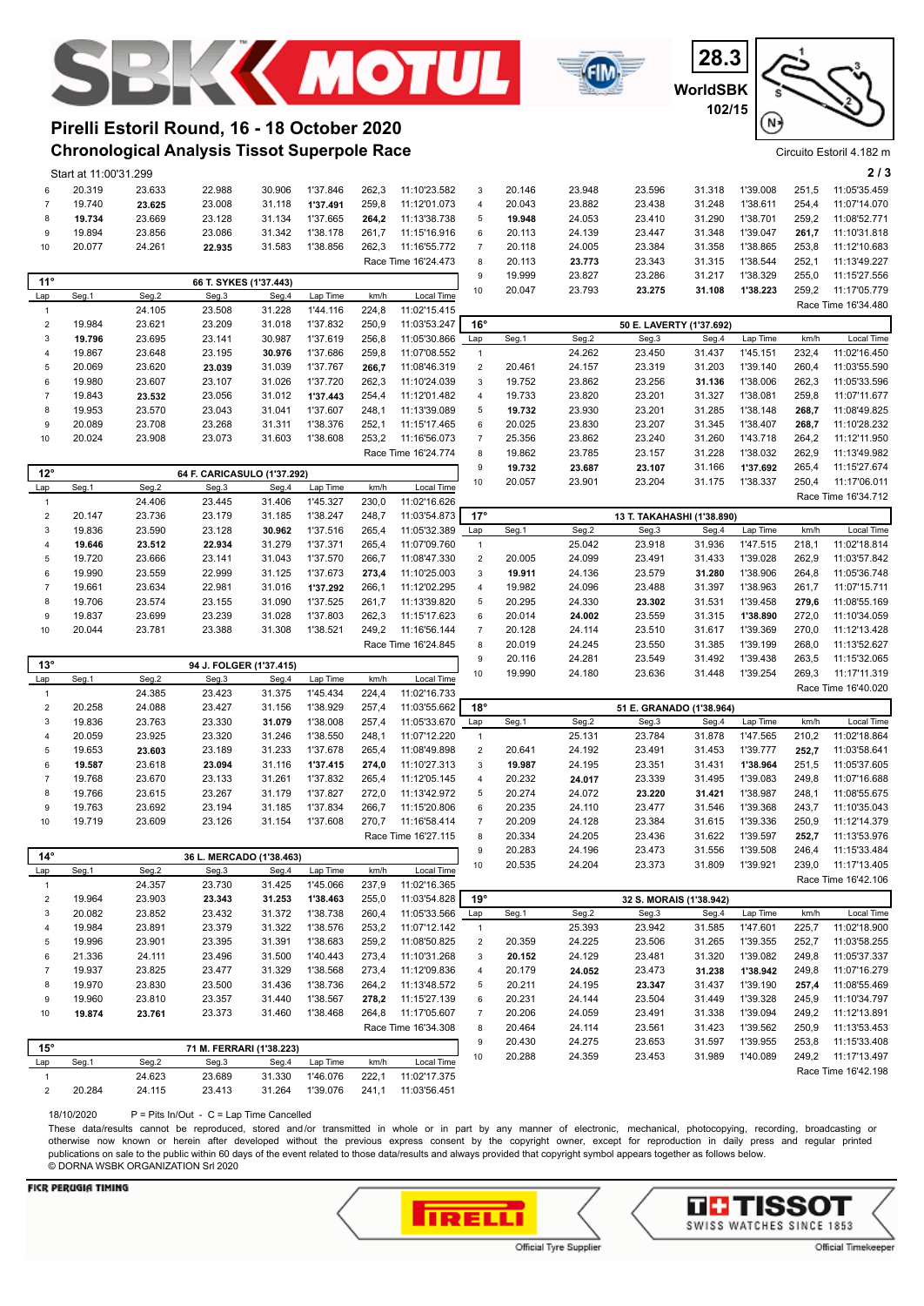





## **Chronological Analysis Tissot Superpole Race Pirelli Estoril Round, 16 - 18 October 2020**

|                                | Start at 11:00'31.299 |                  |                             |                  |                      |                |                              |                           |        |                  |        |                            |          |                | 2/3                 |
|--------------------------------|-----------------------|------------------|-----------------------------|------------------|----------------------|----------------|------------------------------|---------------------------|--------|------------------|--------|----------------------------|----------|----------------|---------------------|
| 6                              | 20.319                | 23.633           | 22.988                      | 30.906           | 1'37.846             | 262,3          | 11:10'23.582                 | 3                         | 20.146 | 23.948           | 23.596 | 31.318                     | 1'39.008 | 251,5          | 11:05'35.459        |
| $\overline{7}$                 | 19.740                | 23.625           | 23.008                      | 31.118           | 1'37.491             | 259,8          | 11:12'01.073                 | $\overline{4}$            | 20.043 | 23.882           | 23.438 | 31.248                     | 1'38.611 | 254,4          | 11:07'14.070        |
| 8                              | 19.734                | 23.669           | 23.128                      | 31.134           | 1'37.665             | 264,2          | 11:13'38.738                 | 5                         | 19.948 | 24.053           | 23.410 | 31.290                     | 1'38.701 | 259,2          | 11:08'52.771        |
| 9                              | 19.894                | 23.856           | 23.086                      | 31.342           | 1'38.178             | 261,7          | 11:15'16.916                 | 6                         | 20.113 | 24.139           | 23.447 | 31.348                     | 1'39.047 | 261,7          | 11:10'31.818        |
| 10                             | 20.077                | 24.261           | 22.935                      | 31.583           | 1'38.856             | 262,3          | 11:16'55.772                 | $\overline{7}$            | 20.118 | 24.005           | 23.384 | 31.358                     | 1'38.865 | 253,8          | 11:12'10.683        |
|                                |                       |                  |                             |                  |                      |                | Race Time 16'24.473          | 8                         | 20.113 |                  | 23.343 | 31.315                     | 1'38.544 | 252,1          | 11:13'49.227        |
|                                |                       |                  |                             |                  |                      |                |                              | 9                         |        | 23.773           |        |                            |          |                |                     |
| $11^{\circ}$                   |                       |                  | 66 T. SYKES (1'37.443)      |                  |                      |                |                              |                           | 19.999 | 23.827           | 23.286 | 31.217                     | 1'38.329 | 255,0          | 11:15'27.556        |
| Lap                            | Seg.1                 | Seg.2            | Seg.3                       | Seg.4            | Lap Time             | km/h           | Local Time                   | 10                        | 20.047 | 23.793           | 23.275 | 31.108                     | 1'38.223 | 259,2          | 11:17'05.779        |
| $\mathbf{1}$                   |                       | 24.105           | 23.508                      | 31.228           | 1'44.116             | 224,8          | 11:02'15.415                 |                           |        |                  |        |                            |          |                | Race Time 16'34.480 |
| $\sqrt{2}$                     | 19.984                | 23.621           | 23.209                      | 31.018           | 1'37.832             | 250,9          | 11:03'53.247                 | $16^{\circ}$              |        |                  |        | 50 E. LAVERTY (1'37.692)   |          |                |                     |
| 3                              | 19.796                | 23.695           | 23.141                      | 30.987           | 1'37.619             | 256,8          | 11:05'30.866                 | Lap                       | Seg.1  | Seg.2            | Seg.3  | Seg.4                      | Lap Time | km/h           | Local Time          |
| $\overline{4}$                 | 19.867                | 23.648           | 23.195                      | 30.976           | 1'37.686             | 259,8          | 11:07'08.552                 | $\mathbf{1}$              |        | 24.262           | 23.450 | 31.437                     | 1'45.151 | 232,4          | 11:02'16.450        |
| 5                              | 20.069                | 23.620           | 23.039                      | 31.039           | 1'37.767             | 266,7          | 11:08'46.319                 | $\mathbf 2$               | 20.461 | 24.157           | 23.319 | 31.203                     | 1'39.140 | 260,4          | 11:03'55.590        |
| 6                              | 19.980                | 23.607           | 23.107                      | 31.026           | 1'37.720             | 262,3          | 11:10'24.039                 | $\ensuremath{\mathsf{3}}$ | 19.752 | 23.862           | 23.256 | 31.136                     | 1'38.006 | 262,3          | 11:05'33.596        |
| $\overline{7}$                 | 19.843                | 23.532           | 23.056                      | 31.012           | 1'37.443             | 254,4          | 11:12'01.482                 | 4                         | 19.733 | 23.820           | 23.201 | 31.327                     | 1'38.081 | 259,8          | 11:07'11.677        |
| 8                              | 19.953                | 23.570           | 23.043                      | 31.041           | 1'37.607             | 248,1          | 11:13'39.089                 | 5                         | 19.732 | 23.930           | 23.201 | 31.285                     | 1'38.148 | 268,7          | 11:08'49.825        |
| 9                              | 20.089                | 23.708           | 23.268                      | 31.311           | 1'38.376             | 252,1          | 11:15'17.465                 |                           | 20.025 | 23.830           | 23.207 | 31.345                     | 1'38.407 | 268,7          | 11:10'28.232        |
|                                |                       |                  |                             |                  |                      |                |                              | 6                         |        |                  |        |                            |          |                |                     |
| 10                             | 20.024                | 23.908           | 23.073                      | 31.603           | 1'38.608             | 253,2          | 11:16'56.073                 | $\boldsymbol{7}$          | 25.356 | 23.862           | 23.240 | 31.260                     | 1'43.718 | 264,2          | 11:12'11.950        |
|                                |                       |                  |                             |                  |                      |                | Race Time 16'24.774          | 8                         | 19.862 | 23.785           | 23.157 | 31.228                     | 1'38.032 | 262,9          | 11:13'49.982        |
| $12^{\circ}$                   |                       |                  | 64 F. CARICASULO (1'37.292) |                  |                      |                |                              | $\boldsymbol{9}$          | 19.732 | 23.687           | 23.107 | 31.166                     | 1'37.692 | 265,4          | 11:15'27.674        |
| Lap                            | Seg.1                 | Seg.2            | Seg.3                       | Seg.4            | Lap Time             | km/h           | Local Time                   | 10                        | 20.057 | 23.901           | 23.204 | 31.175                     | 1'38.337 | 250,4          | 11:17'06.011        |
| $\mathbf{1}$                   |                       | 24.406           | 23.445                      | 31.406           | 1'45.327             | 230,0          | 11:02'16.626                 |                           |        |                  |        |                            |          |                | Race Time 16'34.712 |
| $\sqrt{2}$                     | 20.147                | 23.736           | 23.179                      | 31.185           | 1'38.247             | 248,7          | 11:03'54.873                 | $17^\circ$                |        |                  |        | 13 T. TAKAHASHI (1'38.890) |          |                |                     |
| 3                              | 19.836                | 23.590           | 23.128                      | 30.962           | 1'37.516             | 265,4          | 11:05'32.389                 | Lap                       | Seg.1  | Seg.2            | Seg.3  | Seg.4                      | Lap Time | km/h           | Local Time          |
| 4                              | 19.646                | 23.512           | 22.934                      | 31.279           | 1'37.371             | 265,4          | 11:07'09.760                 | $\mathbf{1}$              |        | 25.042           | 23.918 | 31.936                     | 1'47.515 | 218,1          | 11:02'18.814        |
| 5                              | 19.720                | 23.666           | 23.141                      | 31.043           | 1'37.570             | 266,7          | 11:08'47.330                 | $\mathbf 2$               | 20.005 | 24.099           | 23.491 | 31.433                     | 1'39.028 | 262,9          | 11:03'57.842        |
| 6                              | 19.990                | 23.559           | 22.999                      | 31.125           | 1'37.673             | 273,4          | 11:10'25.003                 | 3                         | 19.911 | 24.136           | 23.579 | 31.280                     | 1'38.906 | 264,8          | 11:05'36.748        |
| $\overline{7}$                 | 19.661                | 23.634           | 22.981                      | 31.016           | 1'37.292             | 266,1          | 11:12'02.295                 | $\sqrt{4}$                | 19.982 | 24.096           | 23.488 | 31.397                     | 1'38.963 | 261,7          | 11:07'15.711        |
| 8                              | 19.706                | 23.574           | 23.155                      | 31.090           | 1'37.525             | 261,7          | 11:13'39.820                 | 5                         | 20.295 | 24.330           | 23.302 | 31.531                     | 1'39.458 | 279,6          | 11:08'55.169        |
| 9                              | 19.837                | 23.699           | 23.239                      | 31.028           | 1'37.803             | 262,3          | 11:15'17.623                 | 6                         | 20.014 | 24.002           | 23.559 | 31.315                     | 1'38.890 | 272,0          | 11:10'34.059        |
| 10                             | 20.044                | 23.781           | 23.388                      | 31.308           | 1'38.521             | 249,2          | 11:16'56.144                 | $\overline{7}$            | 20.128 | 24.114           | 23.510 | 31.617                     | 1'39.369 | 270,0          | 11:12'13.428        |
|                                |                       |                  |                             |                  |                      |                | Race Time 16'24.845          | 8                         | 20.019 | 24.245           | 23.550 | 31.385                     | 1'39.199 | 268,0          | 11:13'52.627        |
|                                |                       |                  |                             |                  |                      |                |                              | 9                         | 20.116 | 24.281           | 23.549 | 31.492                     | 1'39.438 | 263,5          | 11:15'32.065        |
| 13°                            |                       |                  | 94 J. FOLGER (1'37.415)     |                  |                      |                |                              | 10                        | 19.990 | 24.180           | 23.636 | 31.448                     | 1'39.254 | 269,3          | 11:17'11.319        |
| Lap                            | Seg.1                 | Seg.2            | Seg.3                       | Seg.4            | Lap Time             | km/h           | Local Time                   |                           |        |                  |        |                            |          |                | Race Time 16'40.020 |
| $\mathbf{1}$                   |                       | 24.385           | 23.423                      | 31.375           | 1'45.434             | 224,4          | 11:02'16.733                 |                           |        |                  |        |                            |          |                |                     |
| $\sqrt{2}$                     | 20.258                | 24.088           | 23.427                      | 31.156           | 1'38.929             | 257,4          | 11:03'55.662                 | $18^\circ$                |        |                  |        | 51 E. GRANADO (1'38.964)   |          |                |                     |
| 3                              | 19.836                | 23.763           | 23.330                      | 31.079           | 1'38.008             | 257,4          | 11:05'33.670                 | Lap                       | Seg.1  | Seg.2            | Seg.3  | Seg.4                      | Lap Time | km/h           | Local Time          |
| $\overline{4}$                 | 20.059                | 23.925           | 23.320                      | 31.246           | 1'38.550             | 248,1          | 11:07'12.220                 | $\mathbf{1}$              |        | 25.131           | 23.784 | 31.878                     | 1'47.565 | 210,2          | 11:02'18.864        |
| 5                              | 19.653                | 23.603           |                             |                  |                      |                |                              |                           |        |                  |        |                            |          |                |                     |
| 6                              | 19.587                |                  | 23.189                      | 31.233           | 1'37.678             | 265,4          | 11:08'49.898                 | $\overline{2}$            | 20.641 | 24.192           | 23.491 | 31.453                     | 1'39.777 | 252,7          | 11:03'58.641        |
| $\overline{7}$                 |                       | 23.618           | 23.094                      | 31.116           | 1'37.415             | 274,0          | 11:10'27.313                 | 3                         | 19.987 | 24.195           | 23.351 | 31.431                     | 1'38.964 | 251,5          | 11:05'37.605        |
|                                | 19.768                | 23.670           | 23.133                      | 31.261           | 1'37.832             | 265,4          | 11:12'05.145                 | $\overline{4}$            | 20.232 | 24.017           | 23.339 | 31.495                     | 1'39.083 | 249,8          | 11:07'16.688        |
| 8                              | 19.766                | 23.615           | 23.267                      | 31.179           | 1'37.827             | 272,0          | 11:13'42.972                 | 5                         | 20.274 | 24.072           | 23.220 | 31.421                     | 1'38.987 | 248,1          | 11:08'55.675        |
| 9                              | 19.763                | 23.692           | 23.194                      | 31.185           | 1'37.834             | 266,7          | 11:15'20.806                 | 6                         | 20.235 | 24.110           | 23.477 | 31.546                     | 1'39.368 | 243,7          | 11:10'35.043        |
| 10                             | 19.719                | 23.609           | 23.126                      | 31.154           | 1'37.608             | 270,7          | 11:16'58.414                 | $\overline{7}$            | 20.209 | 24.128           | 23.384 | 31.615                     | 1'39.336 | 250,9          | 11:12'14.379        |
|                                |                       |                  |                             |                  |                      |                | Race Time 16'27.115          | 8                         | 20.334 | 24.205           | 23.436 | 31.622                     | 1'39.597 | 252,7          | 11:13'53.976        |
|                                |                       |                  |                             |                  |                      |                |                              | 9                         | 20.283 | 24.196           | 23.473 | 31.556                     | 1'39.508 | 246,4          | 11:15'33.484        |
| $14^\circ$                     |                       |                  | 36 L. MERCADO (1'38.463)    |                  |                      |                |                              | 10                        | 20.535 | 24.204           | 23.373 | 31.809                     | 1'39.921 | 239,0          | 11:17'13.405        |
| Lap<br>$\mathbf{1}$            | Seg.1                 | Seg.2            | Seg.3                       | Seg.4            | Lap Time             | km/h           | Local Time                   |                           |        |                  |        |                            |          |                | Race Time 16'42.106 |
|                                | 19.964                | 24.357           | 23.730                      | 31.425           | 1'45.066             | 237,9<br>255,0 | 11:02'16.365                 |                           |        |                  |        |                            |          |                |                     |
| $\sqrt{2}$                     |                       | 23.903           | 23.343                      | 31.253           | 1'38.463             |                | 11:03'54.828                 | 19°                       |        |                  |        | 32 S. MORAIS (1'38.942)    |          | km/h           |                     |
| 3                              | 20.082                | 23.852           | 23.432                      | 31.372           | 1'38.738             | 260,4          | 11:05'33.566                 | Lap                       | Seg.1  | Seg.2            | Seg.3  | Seg.4                      | Lap Time |                | Local Time          |
| $\overline{4}$                 | 19.984                | 23.891           | 23.379                      | 31.322           | 1'38.576             | 253,2          | 11:07'12.142                 | $\mathbf{1}$              |        | 25.393           | 23.942 | 31.585                     | 1'47.601 | 225,7          | 11:02'18.900        |
| 5                              | 19.996<br>21.336      | 23.901           | 23.395                      | 31.391<br>31.500 | 1'38.683<br>1'40.443 | 259,2<br>273,4 | 11:08'50.825                 | $\overline{c}$<br>3       | 20.359 | 24.225<br>24.129 | 23.506 | 31.265                     | 1'39.355 | 252,7<br>249,8 | 11:03'58.255        |
| 6                              |                       | 24.111           | 23.496                      |                  |                      |                | 11:10'31.268                 |                           | 20.152 |                  | 23.481 | 31.320                     | 1'39.082 |                | 11:05'37.337        |
| $\overline{7}$                 | 19.937                | 23.825           | 23.477                      | 31.329           | 1'38.568             | 273,4          | 11:12'09.836                 | $\overline{\mathbf{4}}$   | 20.179 | 24.052           | 23.473 | 31.238                     | 1'38.942 | 249,8          | 11:07'16.279        |
| 8                              | 19.970                | 23.830           | 23.500                      | 31.436           | 1'38.736             | 264,2          | 11:13'48.572                 | 5                         | 20.211 | 24.195           | 23.347 | 31.437                     | 1'39.190 | 257,4          | 11:08'55.469        |
| 9                              | 19.960                | 23.810           | 23.357                      | 31.440           | 1'38.567             | 278,2          | 11:15'27.139                 | 6                         | 20.231 | 24.144           | 23.504 | 31.449                     | 1'39.328 | 245,9          | 11:10'34.797        |
| 10                             | 19.874                | 23.761           | 23.373                      | 31.460           | 1'38.468             | 264,8          | 11:17'05.607                 | $\boldsymbol{7}$          | 20.206 | 24.059           | 23.491 | 31.338                     | 1'39.094 | 249,2          | 11:12'13.891        |
|                                |                       |                  |                             |                  |                      |                | Race Time 16'34.308          | 8                         | 20.464 | 24.114           | 23.561 | 31.423                     | 1'39.562 | 250,9          | 11:13'53.453        |
| $15^{\circ}$                   |                       |                  | 71 M. FERRARI (1'38.223)    |                  |                      |                |                              | $\boldsymbol{9}$          | 20.430 | 24.275           | 23.653 | 31.597                     | 1'39.955 | 253,8          | 11:15'33.408        |
| Lap                            | Seg.1                 | Seg.2            | Seg.3                       | Seg.4            | Lap Time             | km/h           | Local Time                   | 10                        | 20.288 | 24.359           | 23.453 | 31.989                     | 1'40.089 | 249,2          | 11:17'13.497        |
| $\mathbf{1}$<br>$\overline{2}$ | 20.284                | 24.623<br>24.115 | 23.689<br>23.413            | 31.330<br>31.264 | 1'46.076<br>1'39.076 | 222,1<br>241,1 | 11:02'17.375<br>11:03'56.451 |                           |        |                  |        |                            |          |                | Race Time 16'42.198 |

18/10/2020 P = Pits In/Out - C = Lap Time Cancelled

These data/results cannot be reproduced, stored and/or transmitted in whole or in part by any manner of electronic, mechanical, photocopying, recording, broadcasting or otherwise now known or herein after developed without the previous express consent by the copyright owner, except for reproduction in daily press and regular printed publications on sale to the public within 60 days of the event related to those data/results and always provided that copyright symbol appears together as follows below. © DORNA WSBK ORGANIZATION Srl 2020



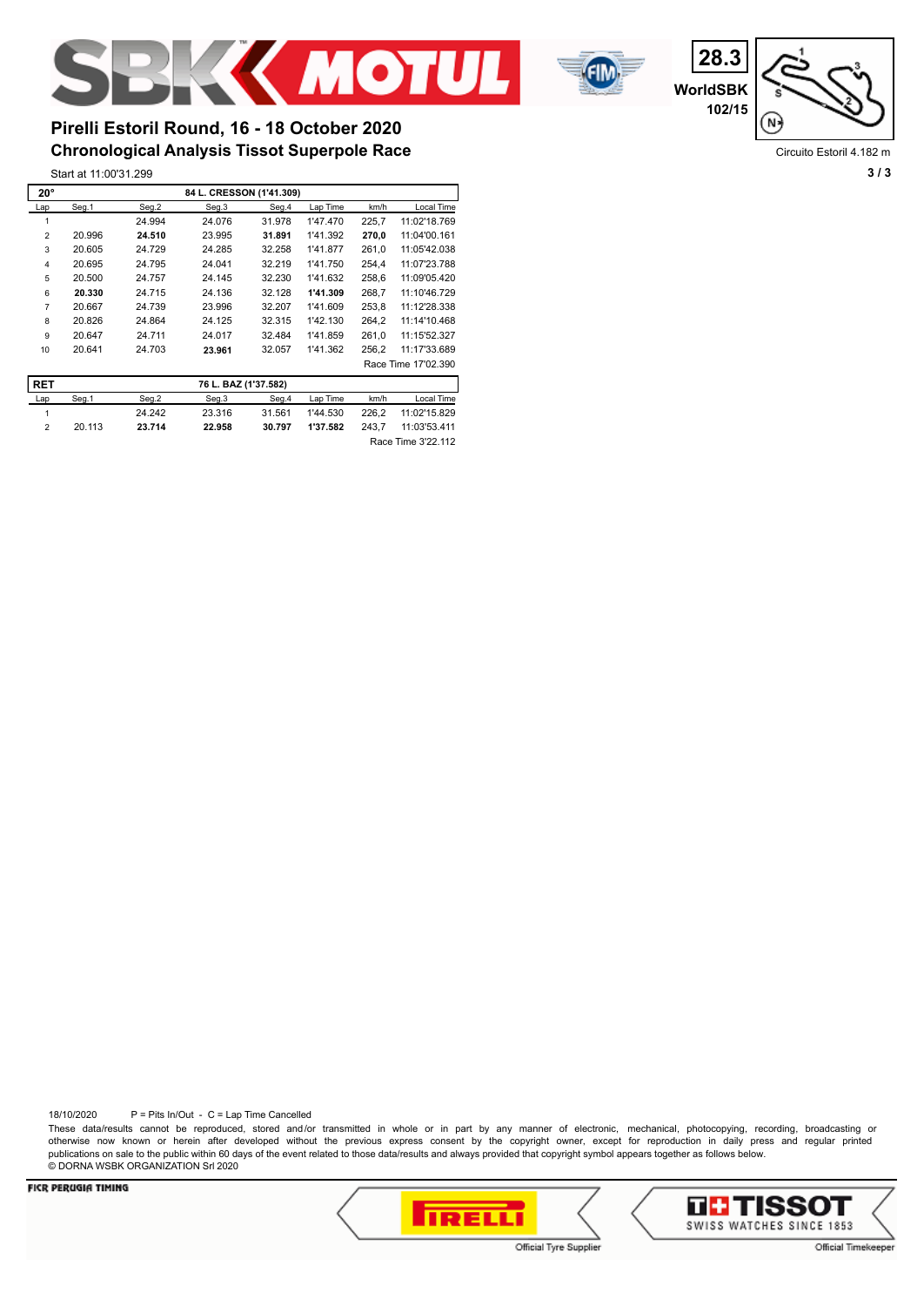

**WorldSBK 28.3 102/15**



Circuito Estoril 4.182 m

## **Chronological Analysis Tissot Superpole Race Pirelli Estoril Round, 16 - 18 October 2020**

Start at 11:00'31.299 **3 / 3**

| $20^{\circ}$   |        |        | 84 L. CRESSON (1'41.309) |        |          |       |                     |
|----------------|--------|--------|--------------------------|--------|----------|-------|---------------------|
| Lap            | Seg.1  | Seg.2  | Seg.3                    | Seg.4  | Lap Time | km/h  | Local Time          |
|                |        | 24.994 | 24.076                   | 31.978 | 1'47.470 | 225.7 | 11:02'18.769        |
| $\overline{2}$ | 20.996 | 24.510 | 23.995                   | 31.891 | 1'41.392 | 270.0 | 11:04'00.161        |
| 3              | 20.605 | 24.729 | 24.285                   | 32.258 | 1'41.877 | 261.0 | 11:05'42.038        |
| 4              | 20.695 | 24.795 | 24.041                   | 32.219 | 1'41.750 | 254.4 | 11:07'23.788        |
| 5              | 20.500 | 24.757 | 24.145                   | 32.230 | 1'41.632 | 258.6 | 11:09'05.420        |
| 6              | 20.330 | 24.715 | 24.136                   | 32.128 | 1'41.309 | 268.7 | 11:10'46.729        |
| $\overline{7}$ | 20.667 | 24.739 | 23.996                   | 32.207 | 1'41.609 | 253.8 | 11:12'28.338        |
| 8              | 20.826 | 24.864 | 24.125                   | 32.315 | 1'42.130 | 264.2 | 11:14'10.468        |
| 9              | 20.647 | 24.711 | 24.017                   | 32.484 | 1'41.859 | 261.0 | 11:15'52.327        |
| 10             | 20.641 | 24.703 | 23.961                   | 32.057 | 1'41.362 | 256,2 | 11:17'33.689        |
|                |        |        |                          |        |          |       | Race Time 17'02.390 |

| <b>RET</b> |        |        | 76 L. BAZ (1'37.582) |        |          |       |                    |
|------------|--------|--------|----------------------|--------|----------|-------|--------------------|
| Lap        | Sea.1  | Sea.2  | Seg.3                | Sea.4  | Lap Time | km/h  | Local Time         |
|            |        | 24.242 | 23.316               | 31.561 | 1'44.530 | 226.2 | 11:02'15.829       |
|            | 20.113 | 23.714 | 22.958               | 30.797 | 1'37.582 | 243.7 | 11:03'53.411       |
|            |        |        |                      |        |          |       | Race Time 3'22.112 |

18/10/2020 P = Pits In/Out - C = Lap Time Cancelled

These data/results cannot be reproduced, stored and/or transmitted in whole or in part by any manner of electronic, mechanical, photocopying, recording, broadcasting or otherwise now known or herein after developed without the previous express consent by the copyright owner, except for reproduction in daily press and regular printed publications on sale to the public within 60 days of the event related to those data/results and always provided that copyright symbol appears together as follows below. © DORNA WSBK ORGANIZATION Srl 2020



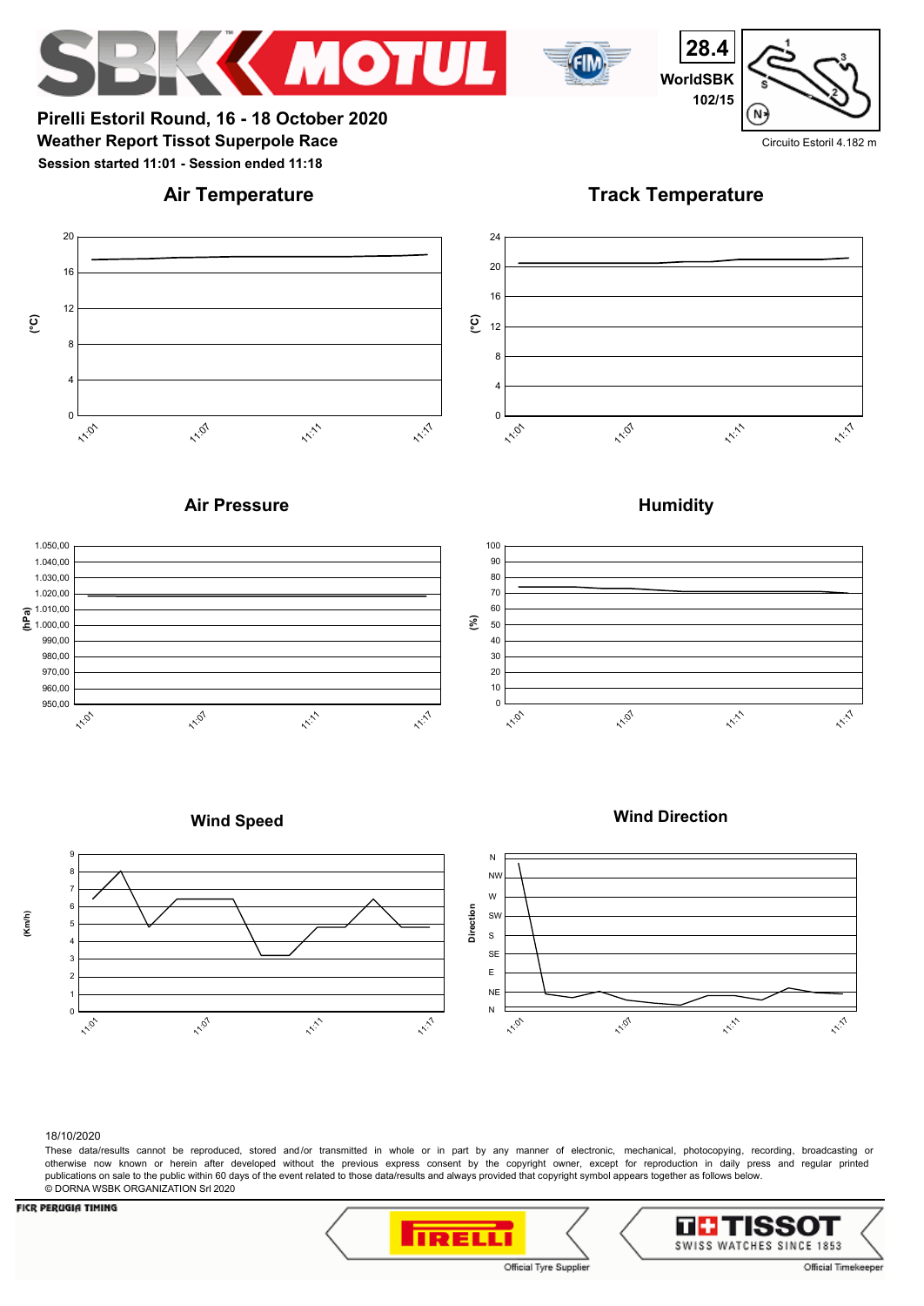



**28.4 WorldSBK 102/15**

**Weather Report Tissot Superpole Race** Circuito Estoril 4.182 m **Pirelli Estoril Round, 16 - 18 October 2020 Session started 11:01 - Session ended 11:18**

# **Air Temperature**

**Track Temperature**



## **Air Pressure**





# **Wind Speed**





### 18/10/2020

These data/results cannot be reproduced, stored and/or transmitted in whole or in part by any manner of electronic, mechanical, photocopying, recording, broadcasting or otherwise now known or herein after developed without the previous express consent by the copyright owner, except for reproduction in daily press and regular printed publications on sale to the public within 60 days of the event related to those data/results and always provided that copyright symbol appears together as follows below. © DORNA WSBK ORGANIZATION Srl 2020

## **FICR PERUGIA TIMING**





 $N$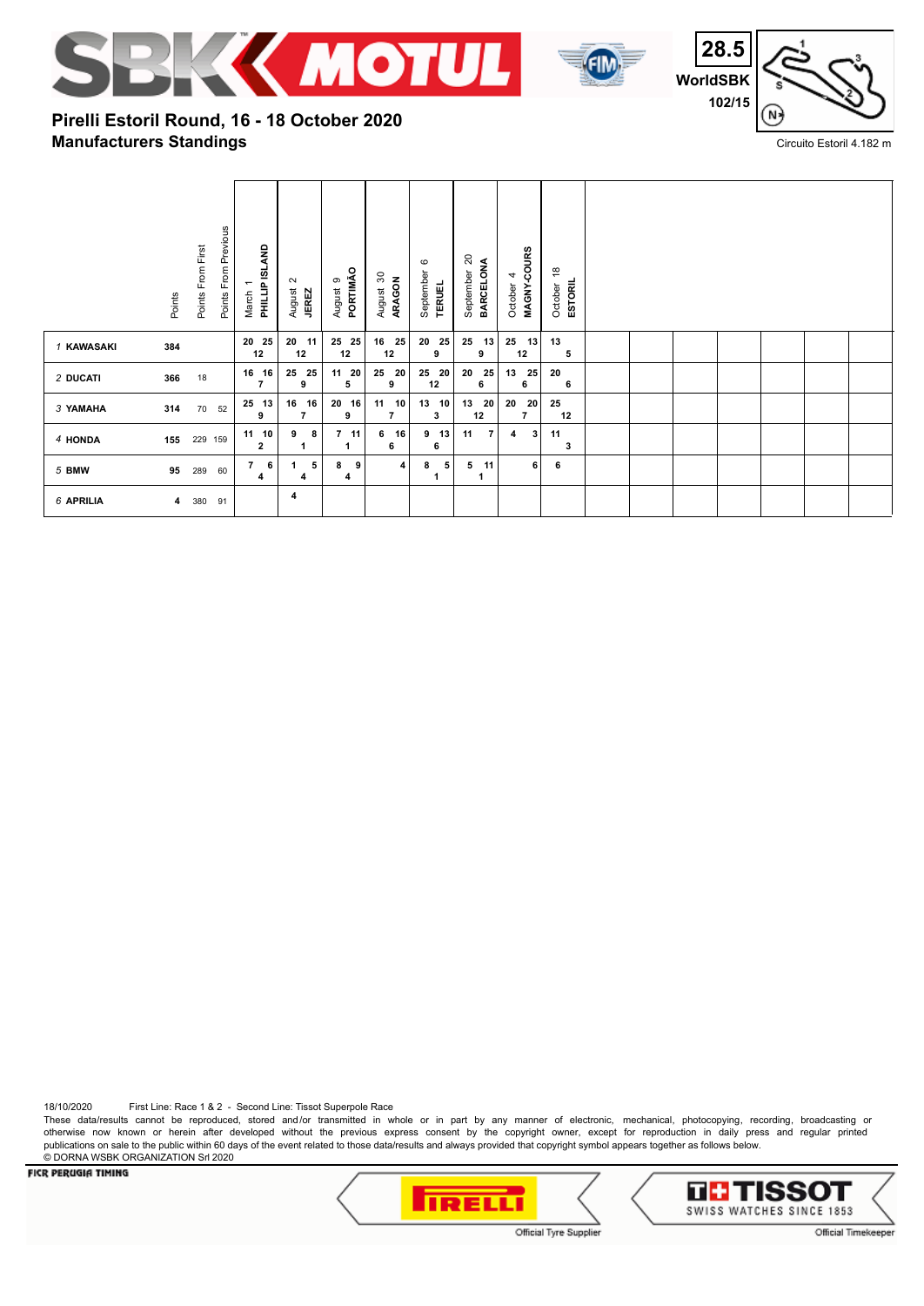



**28.5 WorldSBK 102/15** 'N:

Circuito Estoril 4.182 m

# **Manufacturers Standings Pirelli Estoril Round, 16 - 18 October 2020**

|            | Points From First<br>Points | Points From Previous<br>$\overline{\phantom{0}}$<br>March | PHILLIP ISLAND          | $\sim$<br>August<br><b>JEREZ</b> | PORTIMÃO<br>ၜ<br>August | $\boldsymbol{S}$<br>ARAGON<br>August | $\circ$<br>September<br><b>TERUEL</b> | $_{20}$<br>BARCELONA<br>September | MAGNY-COURS<br>4<br>October | $\frac{8}{1}$<br><b>ESTORIL</b><br>October |  |  |  |  |
|------------|-----------------------------|-----------------------------------------------------------|-------------------------|----------------------------------|-------------------------|--------------------------------------|---------------------------------------|-----------------------------------|-----------------------------|--------------------------------------------|--|--|--|--|
| 1 KAWASAKI | 384                         |                                                           | 20 25<br>12             | 20<br>11<br>12                   | 25 25<br>12             | 25<br>16<br>12                       | 20<br>25<br>9                         | 25<br>13<br>9                     | 25<br>13<br>12              | 13<br>5                                    |  |  |  |  |
| 2 DUCATI   | 366<br>18                   |                                                           | 16 16<br>$\overline{7}$ | 25<br>25<br>9                    | 11 20<br>5              | 20<br>25<br>9                        | 25<br>20<br>12                        | 25<br>20<br>6                     | 25<br>13<br>6               | 20<br>6                                    |  |  |  |  |
| 3 YAMAHA   | 314<br>70                   | 52                                                        | 25 13<br>9              | 16<br>16<br>$\overline{7}$       | 20<br>16<br>9           | 11<br>10<br>$\overline{7}$           | 13<br>10<br>3                         | 13<br>20<br>12                    | 20<br>20<br>7               | 25<br>12                                   |  |  |  |  |
| 4 HONDA    | 155<br>229 159              |                                                           | 11 10<br>$\overline{2}$ | 9<br>8                           | $7$ 11                  | 6<br>16<br>6                         | 9<br>13<br>6                          | $\overline{7}$<br>11              | 3<br>4                      | 11<br>3                                    |  |  |  |  |
| 5 BMW      | 95<br>289                   | $\overline{7}$<br>60                                      | 6<br>4                  | 5<br>1<br>4                      | 8<br>9<br>4             | 4                                    | 8<br>5<br>1                           | 11<br>5<br>1                      | 6                           | 6                                          |  |  |  |  |
| 6 APRILIA  | 380<br>$\overline{4}$<br>91 |                                                           |                         | 4                                |                         |                                      |                                       |                                   |                             |                                            |  |  |  |  |

18/10/2020 First Line: Race 1 & 2 - Second Line: Tissot Superpole Race

These data/results cannot be reproduced, stored and/or transmitted in whole or in part by any manner of electronic, mechanical, photocopying, recording, broadcasting or otherwise now known or herein after developed without the previous express consent by the copyright owner, except for reproduction in daily press and regular printed publications on sale to the public within 60 days of the event related to those data/results and always provided that copyright symbol appears together as follows below. © DORNA WSBK ORGANIZATION Srl 2020



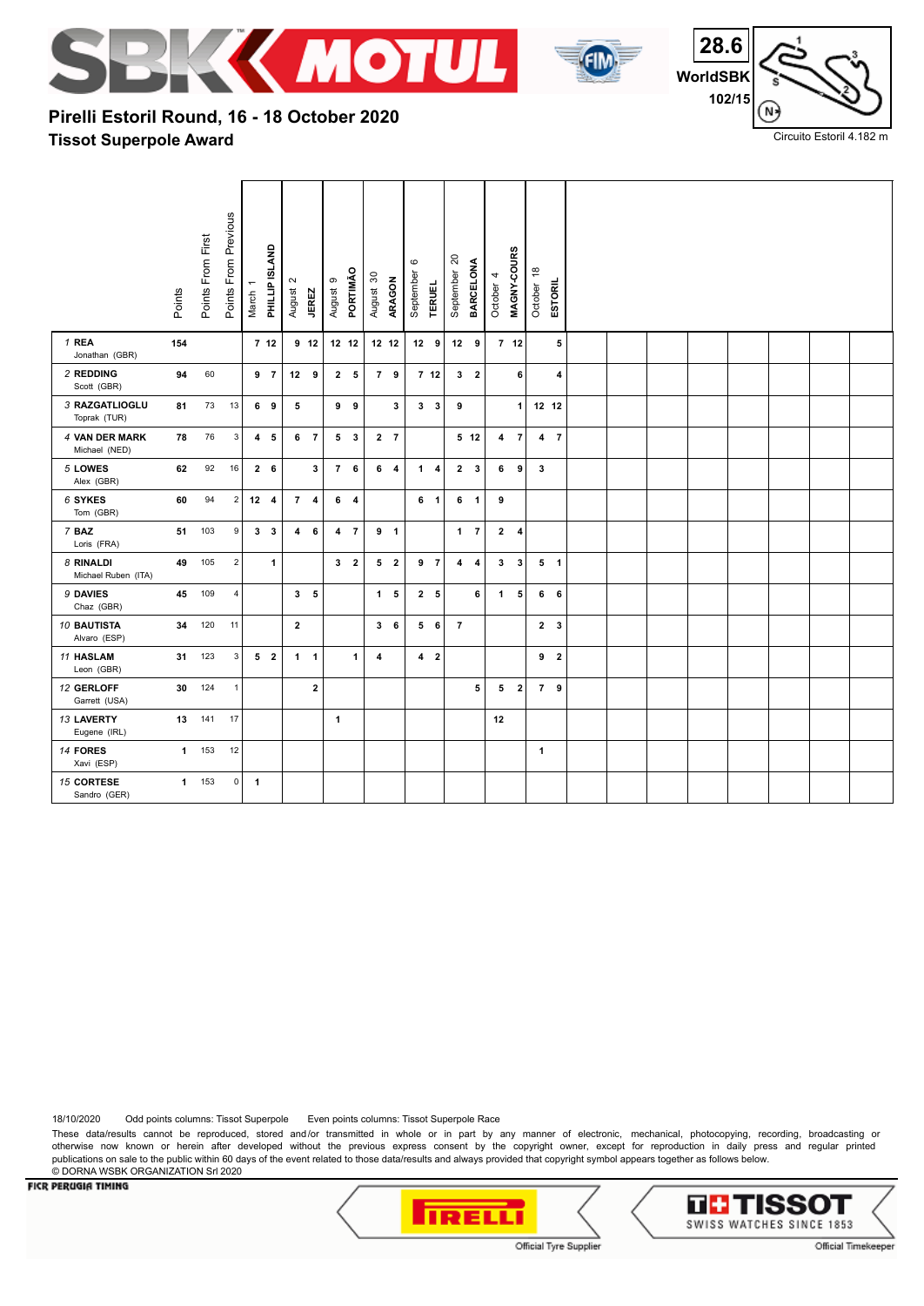





Circuito Estoril 4.182 m

# **Tissot Superpole Award Pirelli Estoril Round, 16 - 18 October 2020**

|                                    | Points | Points From First | Points From Previous | March 1      | PHILLIP ISLAND  | $\sim$<br>August | <b>JEREZ</b>    | August 9     | PORTIMÃO       | August 30 | ARAGON         | $\mathbf \circ$<br>September | <b>TERUEL</b>   | $\overline{20}$<br>September | <b>BARCELONA</b>        | 4<br>October | MAGNY-COURS     | $\overset{\circ}{\tau}$<br>October | ESTORIL        |  |  |  |  |
|------------------------------------|--------|-------------------|----------------------|--------------|-----------------|------------------|-----------------|--------------|----------------|-----------|----------------|------------------------------|-----------------|------------------------------|-------------------------|--------------|-----------------|------------------------------------|----------------|--|--|--|--|
| 1 REA<br>Jonathan (GBR)            | 154    |                   |                      |              | 7 <sub>12</sub> |                  | 9 <sub>12</sub> |              | 12 12          |           | 12 12          |                              | $12 \quad 9$    |                              | $12 \quad 9$            |              | 7 <sub>12</sub> |                                    | 5              |  |  |  |  |
| 2 REDDING<br>Scott (GBR)           | 94     | 60                |                      |              | 9 <sub>7</sub>  |                  | 12 <sub>9</sub> |              | 2 <sub>5</sub> |           | 7 9            |                              | 7 <sub>12</sub> |                              | 3 <sub>2</sub>          |              | 6               |                                    | 4              |  |  |  |  |
| 3 RAZGATLIOGLU<br>Toprak (TUR)     | 81     | 73                | 13                   |              | 69              | 5                |                 |              | 99             |           | $\mathbf{3}$   |                              | $3 \quad 3$     | 9                            |                         |              | $\mathbf{1}$    |                                    | 12 12          |  |  |  |  |
| 4 VAN DER MARK<br>Michael (NED)    | 78     | 76                | $\sqrt{3}$           |              | 4 <sub>5</sub>  |                  | 6 <sub>7</sub>  |              | 53             |           | 2 <sub>7</sub> |                              |                 |                              | $5$ 12                  |              | 4 <sub>7</sub>  |                                    | 4 <sub>7</sub> |  |  |  |  |
| 5 LOWES<br>Alex (GBR)              | 62     | 92                | 16                   |              | $2\quad 6$      |                  | 3               |              | 76             |           | 6 <sub>4</sub> |                              | $1 \quad 4$     |                              | $2 \quad 3$             |              | 69              | $\mathbf{3}$                       |                |  |  |  |  |
| 6 SYKES<br>Tom (GBR)               | 60     | 94                | $\sqrt{2}$           |              | $12 \quad 4$    |                  | 74              |              | 6 <sub>4</sub> |           |                |                              | 6 1             |                              | 6 <sub>1</sub>          | 9            |                 |                                    |                |  |  |  |  |
| 7 BAZ<br>Loris (FRA)               | 51     | 103               | $\boldsymbol{9}$     |              | 3 <sub>3</sub>  |                  | $4\quad 6$      |              | 4 7            |           | 9 <sub>1</sub> |                              |                 |                              | $1 \quad 7$             |              | $2 \quad 4$     |                                    |                |  |  |  |  |
| 8 RINALDI<br>Michael Ruben (ITA)   | 49     | 105               | $\sqrt{2}$           |              | $\mathbf{1}$    |                  |                 |              | 3 <sub>2</sub> |           | 5 <sub>2</sub> |                              | 9 <sub>7</sub>  | 4                            | $\overline{\mathbf{4}}$ |              | 3 <sub>3</sub>  |                                    | 5 <sub>1</sub> |  |  |  |  |
| 9 DAVIES<br>Chaz (GBR)             | 45     | 109               | $\sqrt{4}$           |              |                 |                  | 3 <sub>5</sub>  |              |                |           | 1 <sub>5</sub> |                              | 2 <sub>5</sub>  |                              | 6                       |              | $1\quad 5$      |                                    | 6 <sub>6</sub> |  |  |  |  |
| <b>10 BAUTISTA</b><br>Alvaro (ESP) | 34     | 120               | 11                   |              |                 | $\mathbf{2}$     |                 |              |                |           | 36             |                              | 56              | $\overline{7}$               |                         |              |                 |                                    | 2 <sub>3</sub> |  |  |  |  |
| <b>11 HASLAM</b><br>Leon (GBR)     | 31     | 123               | 3                    |              | 5 <sub>2</sub>  |                  | $1 \quad 1$     |              | 1              | 4         |                |                              | 4 <sub>2</sub>  |                              |                         |              |                 |                                    | 9 <sub>2</sub> |  |  |  |  |
| 12 GERLOFF<br>Garrett (USA)        | 30     | 124               | $\overline{1}$       |              |                 |                  | $\mathbf{2}$    |              |                |           |                |                              |                 |                              | 5                       |              | 5 <sub>2</sub>  |                                    | 7 9            |  |  |  |  |
| 13 LAVERTY<br>Eugene (IRL)         | 13     | 141               | 17                   |              |                 |                  |                 | $\mathbf{1}$ |                |           |                |                              |                 |                              |                         | 12           |                 |                                    |                |  |  |  |  |
| 14 FORES<br>Xavi (ESP)             |        | 1 153             | 12                   |              |                 |                  |                 |              |                |           |                |                              |                 |                              |                         |              |                 | $\mathbf{1}$                       |                |  |  |  |  |
| 15 CORTESE<br>Sandro (GER)         |        | 1 153             | $\pmb{0}$            | $\mathbf{1}$ |                 |                  |                 |              |                |           |                |                              |                 |                              |                         |              |                 |                                    |                |  |  |  |  |

18/10/2020 Odd points columns: Tissot Superpole Even points columns: Tissot Superpole Race

These data/results cannot be reproduced, stored and/or transmitted in whole or in part by any manner of electronic, mechanical, photocopying, recording, broadcasting or otherwise now known or herein after developed without the previous express consent by the copyright owner, except for reproduction in daily press and regular printed publications on sale to the public within 60 days of the event related to those data/results and always provided that copyright symbol appears together as follows below. © DORNA WSBK ORGANIZATION Srl 2020



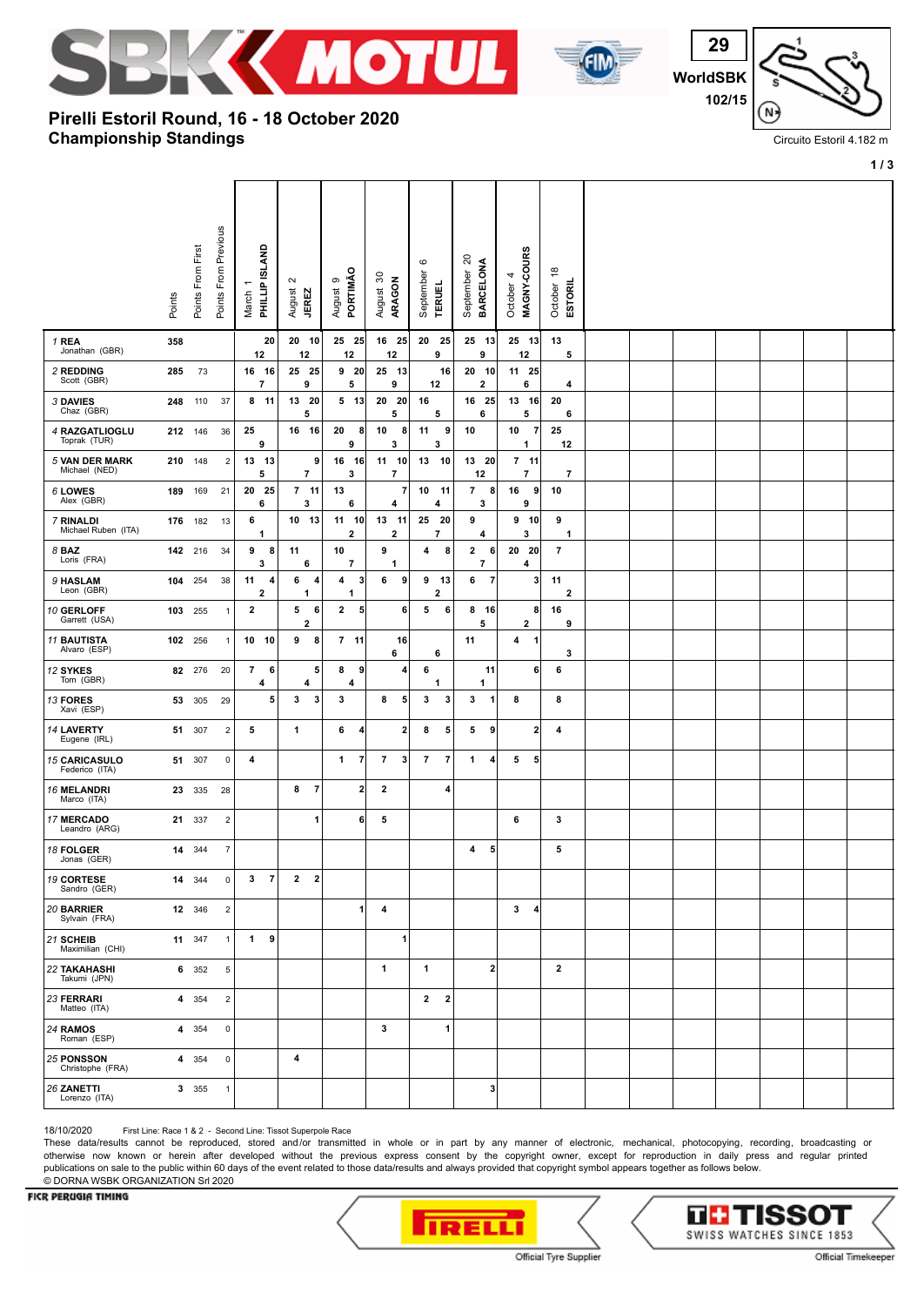



 **WorldSBK 102/15** N

Circuito Estoril 4.182 m

**1 / 3**

**Championship Standings Pirelli Estoril Round, 16 - 18 October 2020**

|                                        | Points | Points From First | Points From Previous    | March 1<br>PHILLIP ISLAND     |      | $\sim$<br>August<br><b>JEREZ</b> | $\circ$<br>August       | PORTIMÃO             | $\boldsymbol{S}$<br>ARAGON<br>August | $\mathbf  \circ$<br>September | <b>TERUEL</b>          | $\approx$<br><b>BARCELONA</b><br>September | MAGNY-COURS<br>4<br>October        | $\frac{8}{1}$<br>October | ESTORIL        |  |  |  |  |
|----------------------------------------|--------|-------------------|-------------------------|-------------------------------|------|----------------------------------|-------------------------|----------------------|--------------------------------------|-------------------------------|------------------------|--------------------------------------------|------------------------------------|--------------------------|----------------|--|--|--|--|
| 1 REA<br>Jonathan (GBR)                | 358    |                   |                         | 12                            | 20   | 20 10<br>12                      |                         | $25$ 25<br>12        | 16 25<br>12                          | 20                            | 25<br>9                | 25 13<br>9                                 | 25 13<br>12                        | 13                       | 5              |  |  |  |  |
| 2 REDDING<br>Scott (GBR)               | 285    | 73                |                         | 16 16<br>$\overline{7}$       |      | 25 25<br>9                       |                         | 9 <sub>20</sub><br>5 | 25 13<br>9                           |                               | 16<br>12               | 20 10<br>2                                 | 11 25<br>6                         |                          | 4              |  |  |  |  |
| 3 DAVIES<br>Chaz (GBR)                 | 248    | 110               | 37                      | $8 11$                        |      | 13 20<br>5                       |                         | $5$ 13               | 20<br>20<br>5                        | 16                            | 5                      | 16<br>- 25<br>6                            | $13 \quad 16$<br>5                 | 20                       | 6              |  |  |  |  |
| 4 RAZGATLIOGLU<br>Toprak (TUR)         |        | 212 146           | 36                      | 25<br>9                       |      | 16 16                            | 20                      | 8<br>9               | 10<br>8<br>3                         | 11                            | 9<br>3                 | 10                                         | 10<br>$\overline{7}$<br>1          | 25<br>12                 |                |  |  |  |  |
| <b>5 VAN DER MARK</b><br>Michael (NED) |        | 210 148           | $\overline{\mathbf{c}}$ | 13 13<br>5                    |      | $\overline{\phantom{a}}$         | 9<br>16                 | 16<br>3              | 11 10<br>$\overline{\phantom{a}}$    | 13                            | - 10                   | 13 20<br>12                                | $7$ 11<br>$\overline{\phantom{a}}$ |                          | $\overline{7}$ |  |  |  |  |
| 6 LOWES<br>Alex (GBR)                  | 189    | 169               | 21                      | 20<br>6                       | - 25 | $7$ 11<br>3                      | 13                      | 6                    | 7<br>4                               | 10                            | 11<br>4                | $\overline{7}$<br>8<br>3                   | 16<br>9<br>9                       | 10                       |                |  |  |  |  |
| 7 RINALDI<br>Michael Ruben (ITA)       |        | 176 182           | 13                      | 6<br>1                        |      | 10 13                            |                         | 11 10<br>2           | 13<br>11<br>2                        | 25                            | - 20<br>$\overline{7}$ | 9<br>4                                     | $9$ 10<br>3                        | 9                        | $\mathbf{1}$   |  |  |  |  |
| 8 BAZ<br>Loris (FRA)                   |        | 142 216           | 34                      | 9<br>3                        | 8    | 11<br>6                          | 10                      | 7                    | 9<br>1                               | 4                             | 8                      | 2<br>6<br>$\overline{7}$                   | 20 20<br>4                         | $\overline{7}$           |                |  |  |  |  |
| 9 HASLAM<br>Leon (GBR)                 | 104    | 254               | 38                      | 11<br>$\overline{\mathbf{2}}$ | 4    | 6<br>1                           | 4<br>4                  | 3<br>1               | 6<br>9                               | 9                             | -13<br>$\overline{2}$  | 6<br>$\overline{7}$                        |                                    | 3<br>11                  | $\mathbf{2}$   |  |  |  |  |
| 10 GERLOFF<br>Garrett (USA)            |        | 103 255           | $\mathbf{1}$            | $\overline{2}$                |      | 5<br>$\overline{\mathbf{2}}$     | 6<br>$\mathbf{2}$       | 5 <sup>1</sup>       | 6                                    | 5                             | 6                      | 8 16<br>5                                  | 2                                  | 8<br>16                  | 9              |  |  |  |  |
| <b>11 BAUTISTA</b><br>Alvaro (ESP)     |        | 102 256           | $\mathbf{1}$            | 10                            | - 10 | 9                                | 8                       | $7$ 11               | 16<br>6                              |                               | 6                      | 11                                         | 4<br>1                             |                          | 3              |  |  |  |  |
| 12 SYKES<br>Tom (GBR)                  |        | 82 276            | 20                      | $\overline{7}$<br>4           | 6    | 4                                | 5<br>8                  | 9 <br>4              | 4                                    | 6                             | 1                      | 11<br>1                                    |                                    | 6 <br>6                  |                |  |  |  |  |
| 13 FORES<br>Xavi (ESP)                 | 53     | 305               | 29                      |                               | 5    | 3                                | 3<br>3                  |                      | 5<br>8                               | 3                             | 3                      | 3<br>$\mathbf{1}$                          | 8                                  | 8                        |                |  |  |  |  |
| <b>14 LAVERTY</b><br>Eugene (IRL)      | 51     | 307               | $\sqrt{2}$              | 5                             |      | 1                                | 6                       | 4                    | $\mathbf{2}$                         | 8                             | 5                      | 5<br>9                                     |                                    | 2 <br>4                  |                |  |  |  |  |
| <b>15 CARICASULO</b><br>Federico (ITA) | 51     | 307               | $\mathbf 0$             | 4                             |      |                                  | $\mathbf{1}$            | $\overline{7}$       | $\overline{7}$<br>$\mathbf{3}$       | $\overline{7}$                | $\overline{7}$         | $\mathbf{1}$<br>4                          | 5<br>5 <sub>5</sub>                |                          |                |  |  |  |  |
| <b>16 MELANDRI</b><br>Marco (ITA)      | 23     | 335               | 28                      |                               |      | 8                                | $\overline{7}$          | $2\vert$             | 2                                    |                               | 4                      |                                            |                                    |                          |                |  |  |  |  |
| 17 MERCADO<br>Leandro (ARG)            |        | 21 337            | $\overline{c}$          |                               |      |                                  | 1                       | 6                    | 5                                    |                               |                        |                                            | 6                                  | 3                        |                |  |  |  |  |
| 18 FOLGER<br>Jonas (GER)               | 14     | 344               | $\overline{7}$          |                               |      |                                  |                         |                      |                                      |                               |                        | 5 <sub>5</sub><br>4                        |                                    | 5                        |                |  |  |  |  |
| 19 CORTESE<br>Sandro (GER)             |        | 14 344            | 0                       | $3 \overline{7}$              |      | $\mathbf{2}$                     | $\overline{\mathbf{2}}$ |                      |                                      |                               |                        |                                            |                                    |                          |                |  |  |  |  |
| 20 BARRIER<br>Sylvain (FRA)            |        | 12 346            | $\overline{2}$          |                               |      |                                  |                         | $\mathbf{1}$         | 4                                    |                               |                        |                                            | $\mathbf{3}$<br>4                  |                          |                |  |  |  |  |
| 21 SCHEIB<br>Maximilian (CHI)          |        | 11 347            | $\mathbf{1}$            | $\mathbf{1}$                  | 9    |                                  |                         |                      | 1                                    |                               |                        |                                            |                                    |                          |                |  |  |  |  |
| <b>22 TAKAHASHI</b><br>Takumi (JPN)    |        | 6 352             | 5                       |                               |      |                                  |                         |                      | 1                                    | $\mathbf{1}$                  |                        | $\mathbf{2}$                               |                                    | $\mathbf{2}$             |                |  |  |  |  |
| 23 FERRARI<br>Matteo (ITA)             |        | 4 354             | $\overline{2}$          |                               |      |                                  |                         |                      |                                      | $\mathbf{2}$                  | $\overline{2}$         |                                            |                                    |                          |                |  |  |  |  |
| 24 RAMOS<br>Roman (ESP)                |        | 4 354             | $\mathbf 0$             |                               |      |                                  |                         |                      | 3                                    |                               | 1                      |                                            |                                    |                          |                |  |  |  |  |
| <b>25 PONSSON</b><br>Christophe (FRA)  |        | 4 354             | $\mathbf 0$             |                               |      | 4                                |                         |                      |                                      |                               |                        |                                            |                                    |                          |                |  |  |  |  |
| 26 ZANETTI<br>Lorenzo (ITA)            |        | 3 355             | $\mathbf{1}$            |                               |      |                                  |                         |                      |                                      |                               |                        | $\mathbf{3}$                               |                                    |                          |                |  |  |  |  |

18/10/2020 First Line: Race 1 & 2 - Second Line: Tissot Superpole Race

These data/results cannot be reproduced, stored and/or transmitted in whole or in part by any manner of electronic, mechanical, photocopying, recording, broadcasting or otherwise now known or herein after developed without the previous express consent by the copyright owner, except for reproduction in daily press and regular printed publications on sale to the public within 60 days of the event related to those data/results and always provided that copyright symbol appears together as follows below. © DORNA WSBK ORGANIZATION Srl 2020



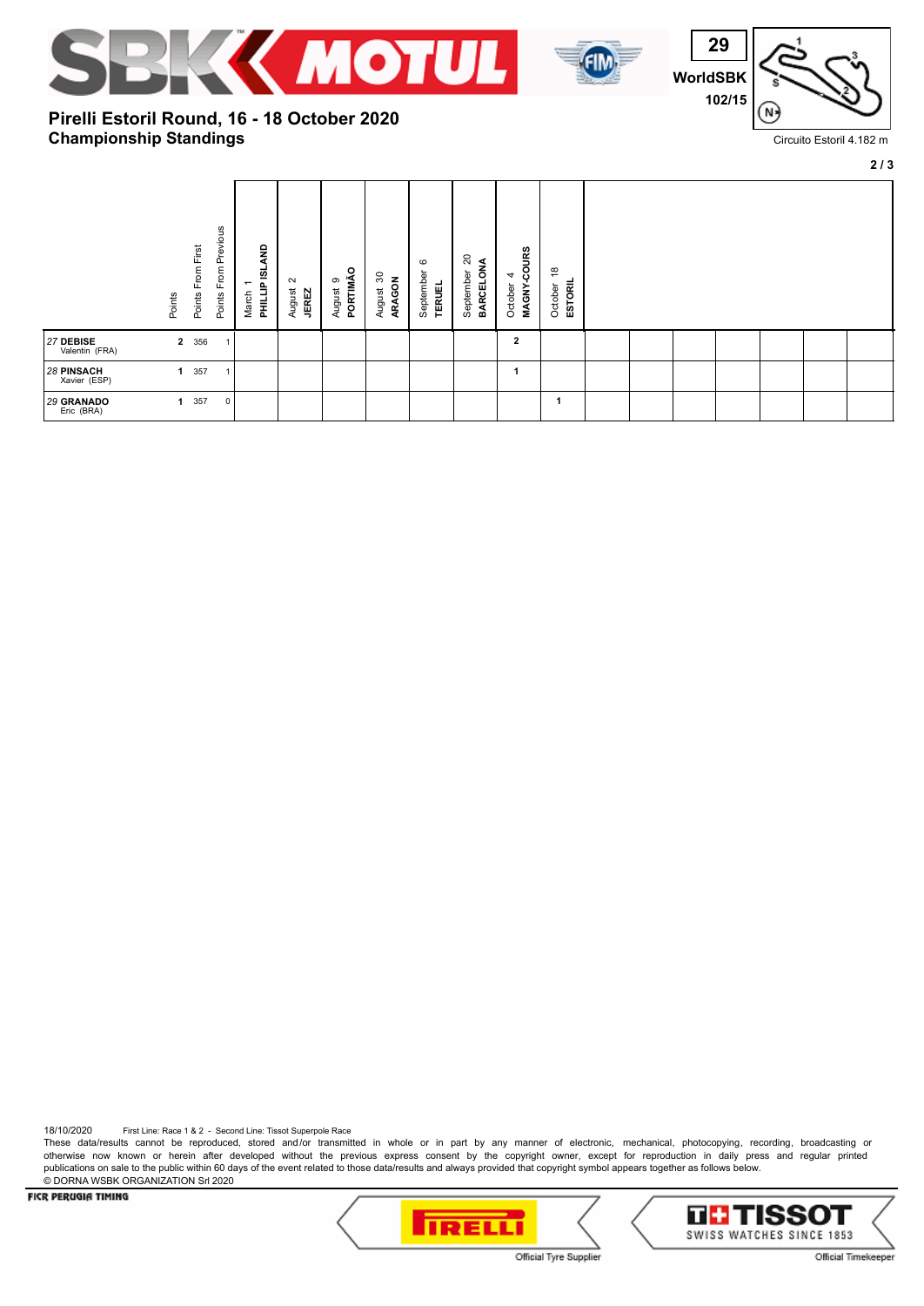



**29 WorldSBK 102/15** N

Circuito Estoril 4.182 m

**2 / 3**

## **Championship Standings Pirelli Estoril Round, 16 - 18 October 2020**

|                             | Points         | From First<br>Points | From Previous<br>Points | PHILLIP ISLAND<br>$\overline{\phantom{0}}$<br>March | $\sim$<br>August<br><b>JEREZ</b> | ۰<br>PORTIMÃ<br>ၜ<br>August | င္က<br>ARAGON<br>August | $\circ$<br>September<br><b>TERUEL</b> | g<br>BARCELONA<br>September | MAGNY-COURS<br>4<br>October | $\frac{8}{1}$<br><b>ESTORIL</b><br>October |  |  |  |
|-----------------------------|----------------|----------------------|-------------------------|-----------------------------------------------------|----------------------------------|-----------------------------|-------------------------|---------------------------------------|-----------------------------|-----------------------------|--------------------------------------------|--|--|--|
| 27 DEBISE<br>Valentin (FRA) | $\overline{2}$ | 356                  | $\overline{1}$          |                                                     |                                  |                             |                         |                                       |                             | $\overline{2}$              |                                            |  |  |  |
| 28 PINSACH<br>Xavier (ESP)  | $\mathbf{1}$   | 357                  | $\overline{1}$          |                                                     |                                  |                             |                         |                                       |                             | 1                           |                                            |  |  |  |
| 29 GRANADO<br>Eric (BRA)    | $\mathbf 1$    | 357                  | $\mathbf 0$             |                                                     |                                  |                             |                         |                                       |                             |                             | 1                                          |  |  |  |

18/10/2020 First Line: Race 1 & 2 - Second Line: Tissot Superpole Race

These data/results cannot be reproduced, stored and/or transmitted in whole or in part by any manner of electronic, mechanical, photocopying, recording, broadcasting or otherwise now known or herein after developed without the previous express consent by the copyright owner, except for reproduction in daily press and regular printed publications on sale to the public within 60 days of the event related to those data/results and always provided that copyright symbol appears together as follows below. © DORNA WSBK ORGANIZATION Srl 2020

FICR PERUGIA TIMING





Official Tyre Supplier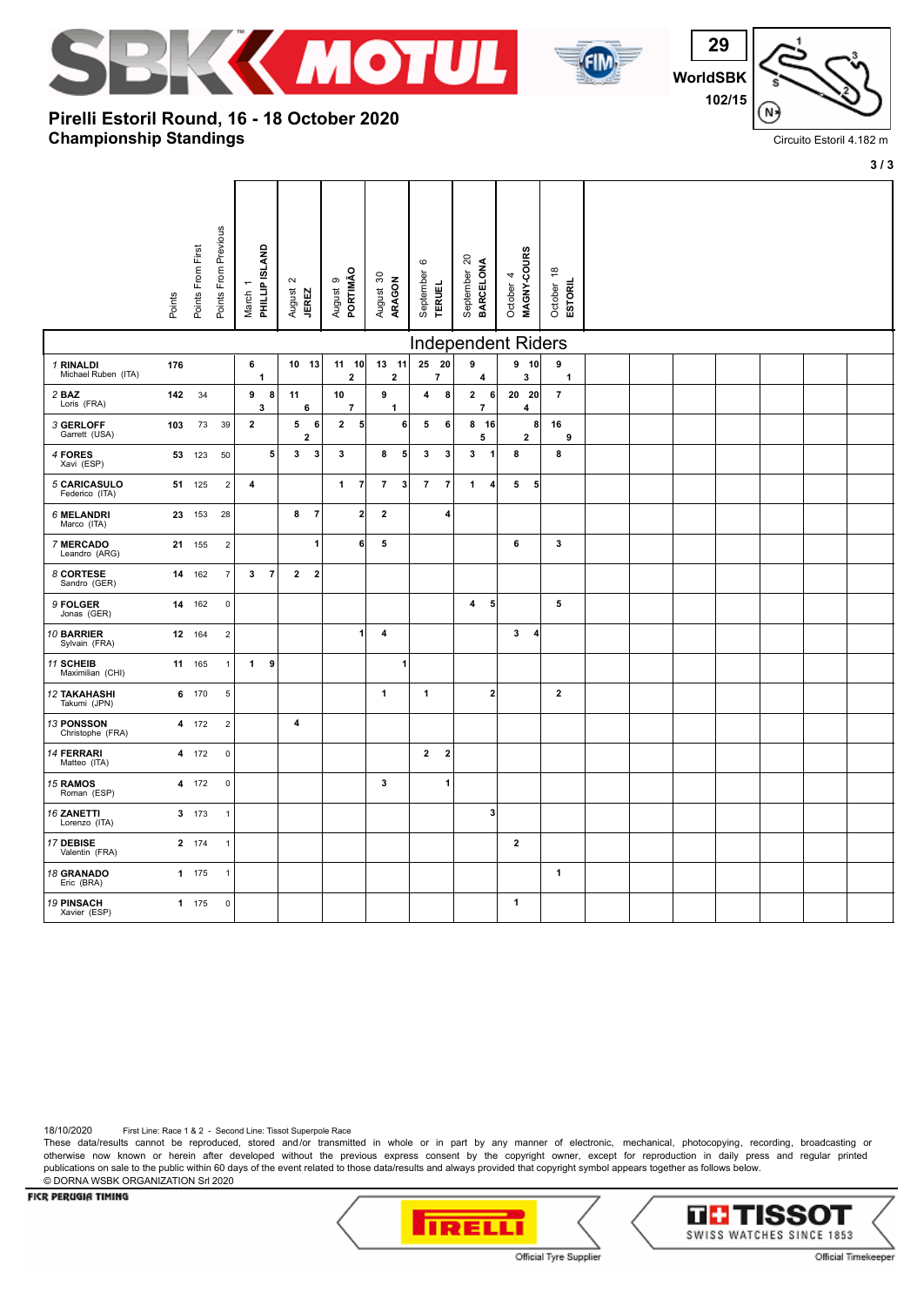

**Pirelli Estoril Round, 16 - 18 October 2020**

**Championship Standings**



**29 WorldSBK 102/15** N

Circuito Estoril 4.182 m

**3 / 3**

|                                     |        |                   |                      |                           |                |                                  |                   |                                  |                |                            |                               |                         |                           |                         |                             |                  |                                       |  |  |  | $\mathbf{v}$ |
|-------------------------------------|--------|-------------------|----------------------|---------------------------|----------------|----------------------------------|-------------------|----------------------------------|----------------|----------------------------|-------------------------------|-------------------------|---------------------------|-------------------------|-----------------------------|------------------|---------------------------------------|--|--|--|--------------|
|                                     | Points | Points From First | Points From Previous | March 1<br>PHILLIP ISLAND |                | $\sim$<br>August<br><b>JEREZ</b> |                   | PORTIMÃO<br>August 9             |                | August 30<br><b>ARAGON</b> | $\mathbf  \circ$<br>September | <b>TERUEL</b>           | September 20<br>BARCELONA |                         | MAGNY-COURS<br>4<br>October |                  | $\frac{8}{1}$<br>October <sub>1</sub> |  |  |  |              |
|                                     |        |                   |                      |                           |                |                                  |                   |                                  |                |                            |                               |                         |                           |                         | <b>Independent Riders</b>   |                  |                                       |  |  |  |              |
| 1 RINALDI<br>Michael Ruben (ITA)    | 176    |                   |                      | 6                         | $\mathbf{1}$   |                                  | 10 13             | $11 \quad 10$<br>$\overline{2}$  |                | 13 11<br>$\overline{2}$    | 25 20                         | $\overline{7}$          | $\overline{9}$            | 4                       | $9$ 10<br>3                 |                  | 9<br>$\mathbf{1}$                     |  |  |  |              |
| 2 BAZ<br>Loris (FRA)                | 142    | 34                |                      | 9                         | 8<br>3         | 11                               | 6                 | 10<br>$\overline{7}$             | 9              | $\mathbf{1}$               | $\overline{\mathbf{4}}$       | 8                       | $\mathbf{2}$              | 6<br>$\overline{7}$     | 20<br>4                     | 20               | $\overline{7}$                        |  |  |  |              |
| 3 GERLOFF<br>Garrett (USA)          | 103    | 73                | 39                   | $\mathbf{2}$              |                | 5                                | 6<br>$\mathbf{2}$ | $\overline{2}$<br>5 <sup>1</sup> |                | 6                          | 5                             | 6                       |                           | 8 16<br>5               | $\mathbf{2}$                | 8                | 16<br>9                               |  |  |  |              |
| 4 FORES<br>Xavi (ESP)               |        | 53 123            | 50                   |                           | 5              | 3                                | $\mathbf{3}$      | 3                                | 8              | 5                          | 3                             | 3                       | 3                         | 1                       | 8                           |                  | 8                                     |  |  |  |              |
| 5 CARICASULO<br>Federico (ITA)      |        | 51 125            | $\overline{2}$       | 4                         |                |                                  |                   | $\mathbf{1}$<br>$\overline{7}$   | $\overline{7}$ | $\mathbf{3}$               | $\overline{7}$                | $\overline{7}$          | 1                         | $\overline{\mathbf{4}}$ | 5                           | 5 <sub>5</sub>   |                                       |  |  |  |              |
| 6 MELANDRI<br>Marco (ITA)           |        | 23 153            | 28                   |                           |                | 8                                | $\overline{7}$    | $\mathbf{2}$                     | $\overline{2}$ |                            |                               | 4                       |                           |                         |                             |                  |                                       |  |  |  |              |
| 7 MERCADO<br>Leandro (ARG)          |        | 21 155            | $\overline{2}$       |                           |                |                                  | 1                 | 6                                | 5              |                            |                               |                         |                           |                         | 6                           |                  | 3                                     |  |  |  |              |
| 8 CORTESE<br>Sandro (GER)           |        | 14 162            | $\overline{7}$       | 3                         | $\overline{7}$ | $\overline{2}$                   | $\overline{2}$    |                                  |                |                            |                               |                         |                           |                         |                             |                  |                                       |  |  |  |              |
| 9 FOLGER<br>Jonas (GER)             |        | 14 162            | $\pmb{0}$            |                           |                |                                  |                   |                                  |                |                            |                               |                         | 4                         | 5                       |                             |                  | 5                                     |  |  |  |              |
| 10 BARRIER<br>Sylvain (FRA)         |        | 12 164            | $\overline{2}$       |                           |                |                                  |                   | 1                                | 4              |                            |                               |                         |                           |                         | 3                           | $\boldsymbol{4}$ |                                       |  |  |  |              |
| 11 SCHEIB<br>Maximilian (CHI)       |        | 11 165            | $\mathbf{1}$         | 1                         | 9              |                                  |                   |                                  |                | 1                          |                               |                         |                           |                         |                             |                  |                                       |  |  |  |              |
| <b>12 TAKAHASHI</b><br>Takumi (JPN) |        | 6 170             | 5                    |                           |                |                                  |                   |                                  | $\mathbf{1}$   |                            | $\overline{1}$                |                         |                           | $\overline{\mathbf{2}}$ |                             |                  | $\mathbf{2}$                          |  |  |  |              |
| 13 PONSSON<br>Christophe (FRA)      |        | 4 172             | $\overline{2}$       |                           |                | $\overline{\mathbf{4}}$          |                   |                                  |                |                            |                               |                         |                           |                         |                             |                  |                                       |  |  |  |              |
| 14 FERRARI<br>Matteo (ITA)          |        | 4 172             | $\pmb{0}$            |                           |                |                                  |                   |                                  |                |                            | $\mathbf{2}$                  | $\overline{\mathbf{2}}$ |                           |                         |                             |                  |                                       |  |  |  |              |
| 15 RAMOS<br>Roman (ESP)             |        | 4 172             | $\pmb{0}$            |                           |                |                                  |                   |                                  | 3              |                            |                               | 1                       |                           |                         |                             |                  |                                       |  |  |  |              |
| <b>16 ZANETTI</b><br>Lorenzo (ITA)  |        | 3 173             | $\mathbf{1}$         |                           |                |                                  |                   |                                  |                |                            |                               |                         |                           | 3                       |                             |                  |                                       |  |  |  |              |
| 17 DEBISE<br>Valentin (FRA)         |        | 2 174             | $\mathbf{1}$         |                           |                |                                  |                   |                                  |                |                            |                               |                         |                           |                         | $\overline{2}$              |                  |                                       |  |  |  |              |
| 18 GRANADO<br>Eric (BRA)            |        | 1 175             | $\mathbf{1}$         |                           |                |                                  |                   |                                  |                |                            |                               |                         |                           |                         |                             |                  | 1                                     |  |  |  |              |
| <b>19 PINSACH</b><br>Xavier (ESP)   |        | 1 175             | $\pmb{0}$            |                           |                |                                  |                   |                                  |                |                            |                               |                         |                           |                         | $\mathbf{1}$                |                  |                                       |  |  |  |              |

18/10/2020 First Line: Race 1 & 2 - Second Line: Tissot Superpole Race

These data/results cannot be reproduced, stored and/or transmitted in whole or in part by any manner of electronic, mechanical, photocopying, recording, broadcasting or otherwise now known or herein after developed without the previous express consent by the copyright owner, except for reproduction in daily press and regular printed publications on sale to the public within 60 days of the event related to those data/results and always provided that copyright symbol appears together as follows below. © DORNA WSBK ORGANIZATION Srl 2020

FICR PERUGIA TIMING





Official Tyre Supplier